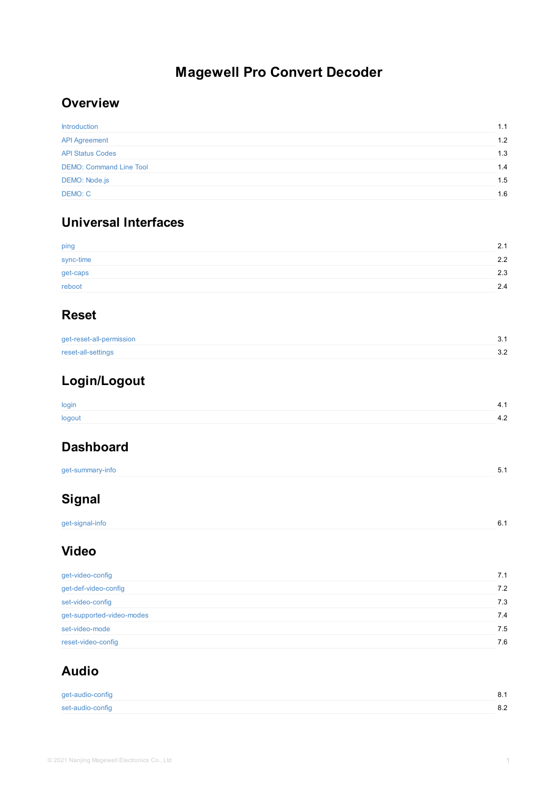get-caps reboot

# **Reset**

get-reset-all-permission

reset-all-settings

# **[Login/](#page-3-0)Logout**

[login](#page-4-0)

[logout](#page-5-0)

# **[Dashboa](#page-7-0)rd**

get-summary-info

# **Signal**

[get-signal-](#page-10-0)info

# **[Vide](#page-12-0)o**

| get-video-config          |  |  |
|---------------------------|--|--|
| get-def-video-config      |  |  |
| set-video-config          |  |  |
| get-supported-video-modes |  |  |
| set-video-mode            |  |  |
| reset-video-config        |  |  |

# **[Au](#page-15-0)[d](#page-16-0)io**

get-audio-config set-audio-config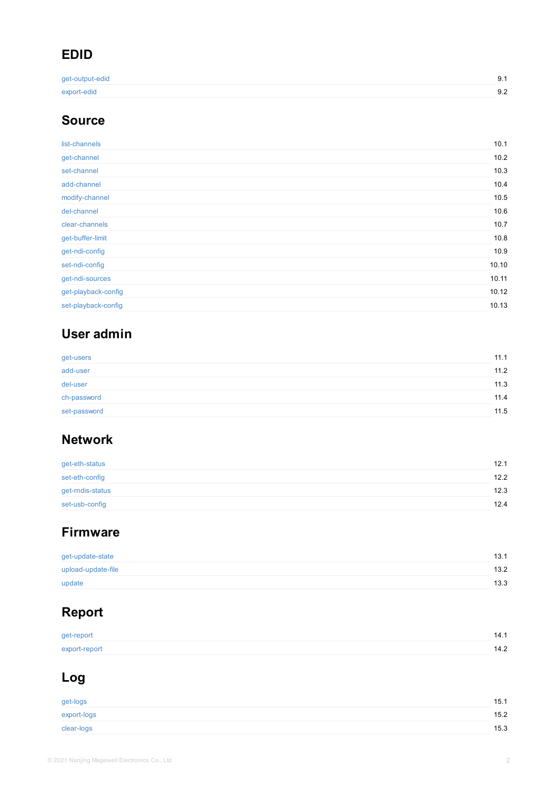| set-nai-conlig      |  |  |  |
|---------------------|--|--|--|
| get-ndi-sources     |  |  |  |
| get-playback-config |  |  |  |
| set-playback-config |  |  |  |
|                     |  |  |  |

# **[User](#page-36-0) admin**

| get-users    |  |  |
|--------------|--|--|
| add-user     |  |  |
| del-user     |  |  |
| ch-password  |  |  |
| set-password |  |  |

## **[Netwo](#page-40-0)[r](#page-41-0)k**

| get-eth-status   |  |  |
|------------------|--|--|
| set-eth-config   |  |  |
| get-rndis-status |  |  |
| set-usb-config   |  |  |

# **[Firmwa](#page-48-0)[re](#page-49-0)**

| get-update-state   |  |  |
|--------------------|--|--|
| upload-update-file |  |  |
| update             |  |  |

# **[Repor](#page-52-0)t**

| get-report    |  |  |
|---------------|--|--|
| export-report |  |  |

# **[Log](#page-56-0)**

| get-logs    |  |
|-------------|--|
| export-logs |  |
| clear-logs  |  |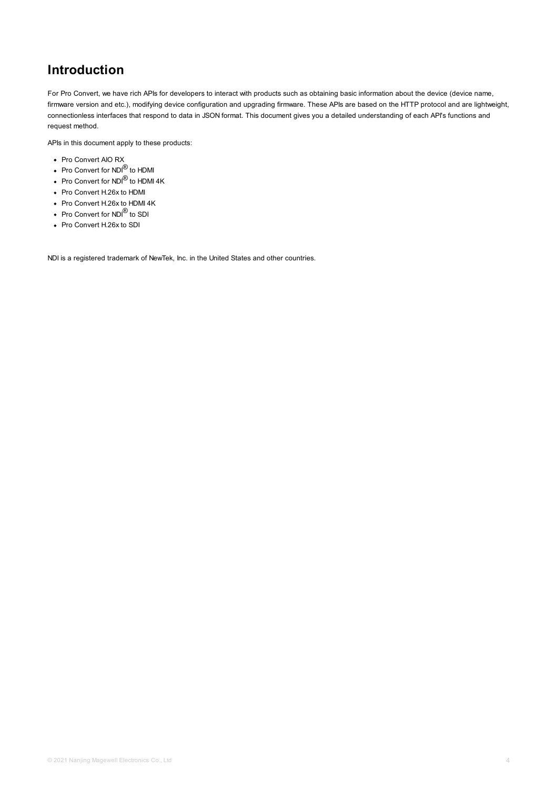# <span id="page-3-0"></span>**Introduction**

For Pro Convert, we have rich APIs for developers to interact with products such as obtaining basic information about the device (device name, firmware version and etc.), modifying device configuration and upgrading firmware. These APIs are based on the HTTP protocol and are lightweight, connectionless interfaces that respond to data in JSON format. This document gives you a detailed understanding of each API's functions and request method.

APIs in this document apply to these products:

- Pro Convert AIO RX
- Pro Convert for NDI<sup>®</sup> to HDMI
- Pro Convert for NDI $^\text{\textregistered}$  to HDMI 4K
- Pro Convert H.26x to HDMI
- Pro Convert H.26x to HDMI 4K
- Pro Convert for NDI<sup>®</sup> to SDI
- Pro Convert H.26x to SDI

NDI is a registered trademark of NewTek, Inc. in the United States and other countries.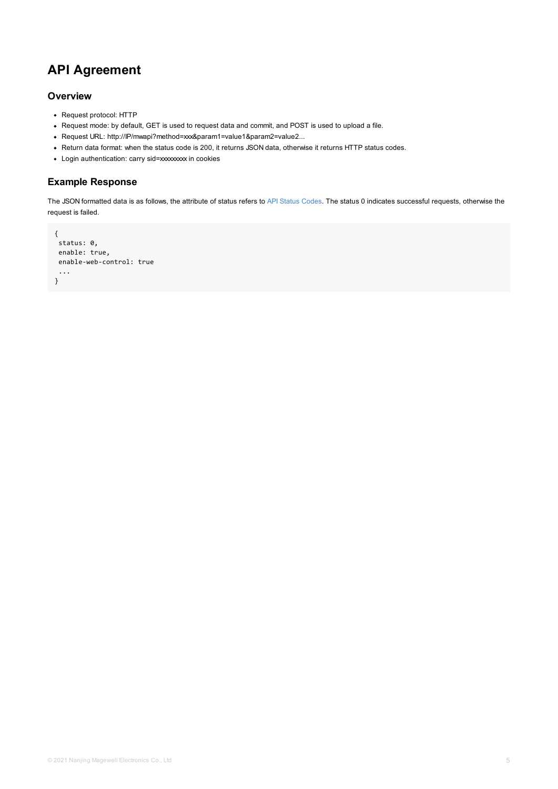```
enable-web-control: true
...
}
```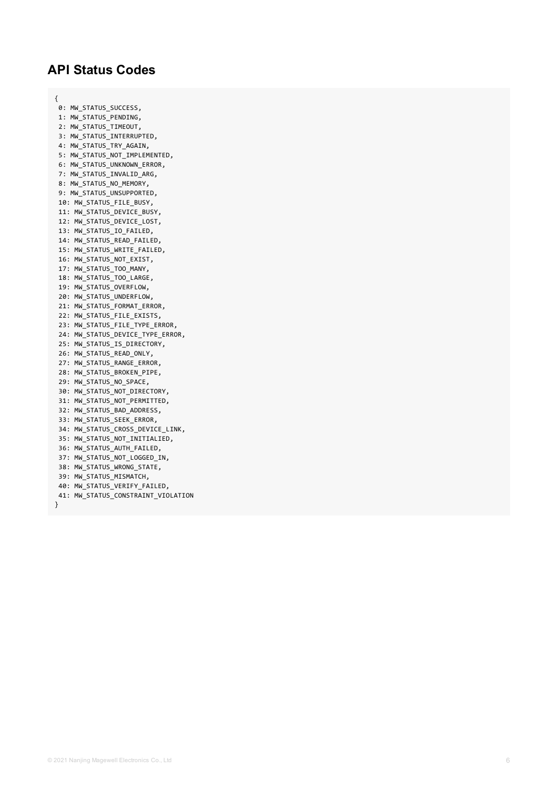## <span id="page-5-0"></span>**API Status Codes**

{

0: MW\_STATUS\_SUCCESS**,** 1: MW\_STATUS\_PENDING, 2: MW\_STATUS\_TIMEOUT**,** 3: MW\_STATUS\_INTERRUPTED**,** 4: MW\_STATUS\_TRY\_AGAIN**,** 5: MW\_STATUS\_NOT\_IMPLEMENTED, 6: MW\_STATUS\_UNKNOWN\_ERROR**,** 7: MW\_STATUS\_INVALID\_ARG**,** 8: MW\_STATUS\_NO\_MEMORY**,** 9: MW\_STATUS\_UNSUPPORTED**,** 10: MW\_STATUS\_FILE\_BUSY, 11: MW\_STATUS\_DEVICE\_BUSY, 12: MW\_STATUS\_DEVICE\_LOST, 13: MW\_STATUS\_IO\_FAILED**,** 14: MW\_STATUS\_READ\_FAILED**,** 15: MW\_STATUS\_WRITE\_FAILED, 16: MW\_STATUS\_NOT\_EXIST, 17: MW\_STATUS\_TOO\_MANY**,** 18: MW\_STATUS\_TOO\_LARGE, 19: MW\_STATUS\_OVERFLOW**,** 20: MW\_STATUS\_UNDERFLOW, 21: MW\_STATUS\_FORMAT\_ERROR**,** 22: MW\_STATUS\_FILE\_EXISTS**,** 23: MW\_STATUS\_FILE\_TYPE\_ERROR**,** 24: MW\_STATUS\_DEVICE\_TYPE\_ERROR, 25: MW\_STATUS\_IS\_DIRECTORY, 26: MW\_STATUS\_READ\_ONLY**,** 27: MW\_STATUS\_RANGE\_ERROR**,** 28: MW\_STATUS\_BROKEN\_PIPE, 29: MW\_STATUS\_NO\_SPACE**,** 30: MW\_STATUS\_NOT\_DIRECTORY, 31: MW\_STATUS\_NOT\_PERMITTED, 32: MW\_STATUS\_BAD\_ADDRESS, 33: MW\_STATUS\_SEEK\_ERROR**,** 34: MW\_STATUS\_CROSS\_DEVICE\_LINK, 35: MW\_STATUS\_NOT\_INITIALIED, 36: MW\_STATUS\_AUTH\_FAILED, 37: MW\_STATUS\_NOT\_LOGGED\_IN**,** 38: MW\_STATUS\_WRONG\_STATE, 39: MW\_STATUS\_MISMATCH, 40: MW\_STATUS\_VERIFY\_FAILED, 41: MW\_STATUS\_CONSTRAINT\_VIOLATION }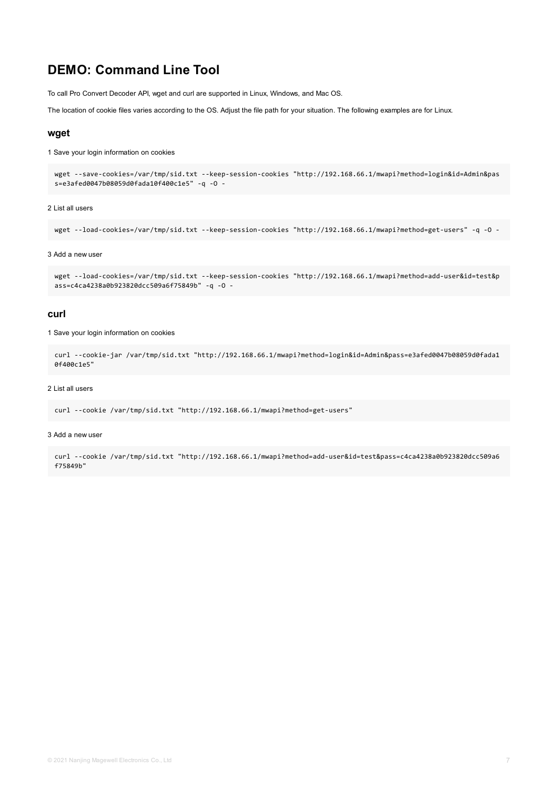## **DEMO: Command Line Tool**

To call Pro Convert Decoder API, wget and curl are supported in Linux, Windows, and Mac OS.

The location of cookie files varies according to the OS. Adjust the file path for your situation. The following examples are for Linux.

### **wget**

1 Save your login information on cookies

```
wget --save-cookies=/var/tmp/sid.txt --keep-session-cookies "http://192.168.66.1/mwapi?method=login&id=Admin&pas
s=e3afed0047b08059d0fada10f400c1e5" -q -O -
```
#### 2 List all users

```
wget --load-cookies=/var/tmp/sid.txt --keep-session-cookies "http://192.168.66.1/mwapi?method=get-users" -q -O -
```
#### 3 Add a new user

```
wget --load-cookies=/var/tmp/sid.txt --keep-session-cookies "http://192.168.66.1/mwapi?method=add-user&id=test&p
ass=c4ca4238a0b923820dcc509a6f75849b" -q -O -
```
### **curl**

1 Save your login information on cookies

```
curl --cookie-jar /var/tmp/sid.txt "http://192.168.66.1/mwapi?method=login&id=Admin&pass=e3afed0047b08059d0fada1
0f400c1e5"
```
#### 2 List all users

```
curl --cookie /var/tmp/sid.txt "http://192.168.66.1/mwapi?method=get-users"
```
#### 3 Add a new user

curl --cookie /var/tmp/sid.txt "http://192.168.66.1/mwapi?method=add-user&id=test&pass=c4ca4238a0b923820dcc509a6 f75849b"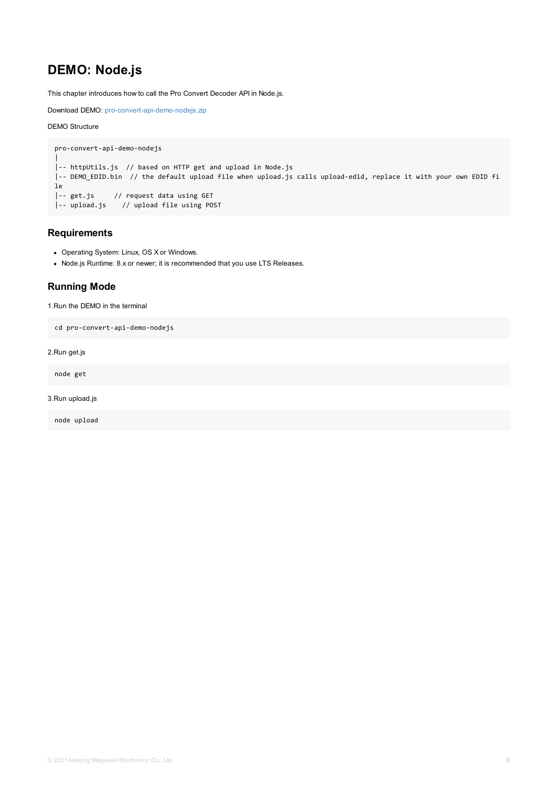Node.js Runtime: 8.x or newer; it is recommended that you use LTS Releases.

## <span id="page-7-0"></span>**Running Mode**

1.Run the DEMO in the terminal

```
cd pro-convert-api-demo-nodejs
```
2.Run get.js

node get

### 3.Run upload.js

node upload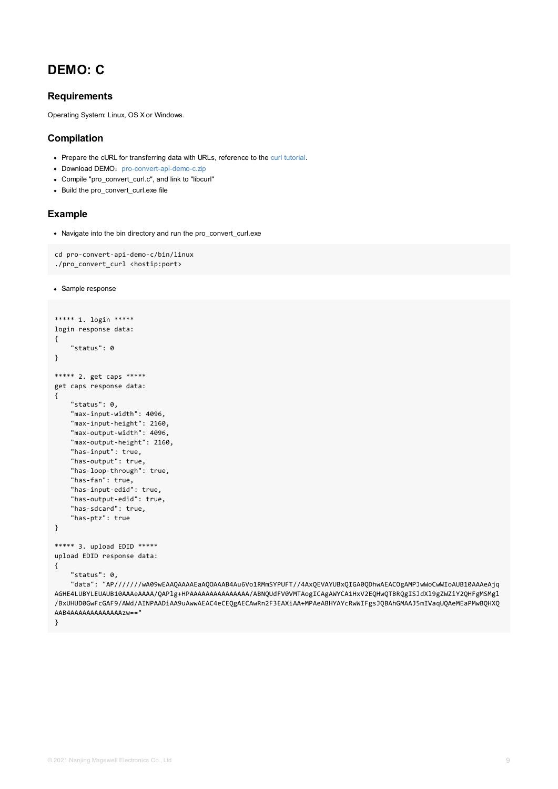```
./pro_convert_curl <nostip.port>
```

```
• Sample response
```

```
***** 1. login *****
login response data:
{
    "status": 0
}
***** 2. get caps *****
get caps response data:
{
    "status": 0,
    "max-input-width": 4096,
    "max-input-height": 2160,
    "max-output-width": 4096,
    "max-output-height": 2160,
    "has-input": true,
    "has-output": true,
    "has-loop-through": true,
    "has-fan": true,
    "has-input-edid": true,
    "has-output-edid": true,
    "has-sdcard": true,
    "has-ptz": true
}
***** 3. upload EDID *****
upload EDID response data:
{
    "status": 0,
    "data": "AP//////wA09wEAAQAAAAEaAQOAAAB4Au6Vo1RMmSYPUFT//4AxQEVAYUBxQIGA0QDhwAEACOg
AGHE4LUBYLEUAUB10AAAeAAAA/QAPlg+HPAAAAAAAAAAAAAAA/ABNQUdFV0VMTAogICAgAWYCA1HxV2EQHwQTBRQ
/BxUHUD0GwFcGAF9/AWd/AINPAADiAA9uAwwAEAC4eCEQgAECAwRn2F3EAXiAA+MPAeABHYAYcRwWIFgsJQBAhGM
AAB4AAAAAAAAAAAAAzw=="
}
```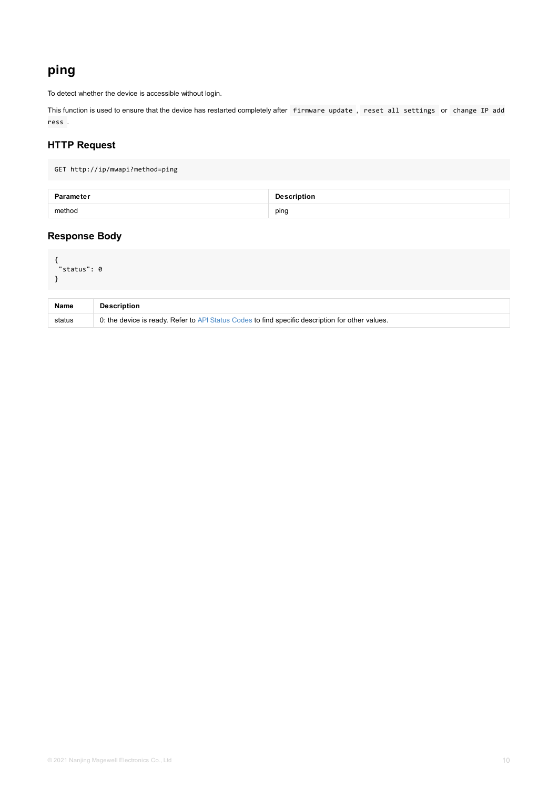```
"status": 0
}
```

| <b>Name</b> | <b>Description</b>                                                                               |
|-------------|--------------------------------------------------------------------------------------------------|
| status      | 0: the device is ready. Refer to API Status Codes to find specific description for other values. |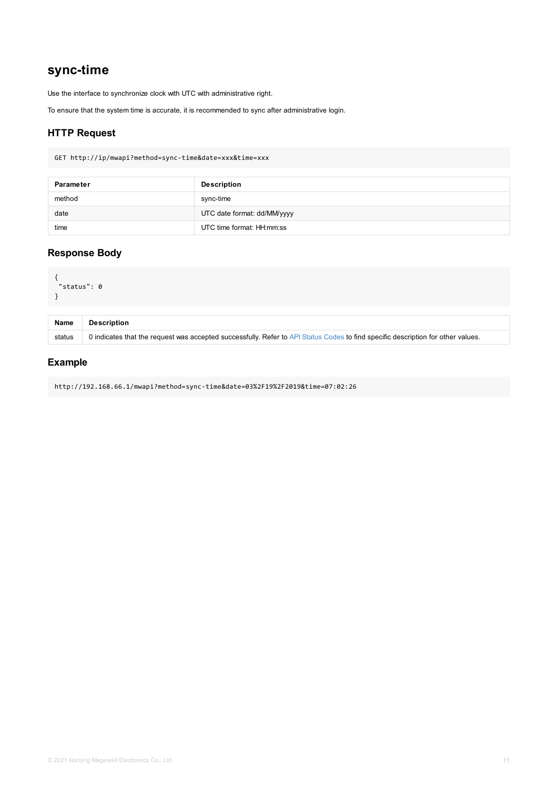```
{
"status": 0
}
```

| <b>Name</b> | <b>Description</b>                                                                                      |
|-------------|---------------------------------------------------------------------------------------------------------|
| status      | 0 indicates that the request was accepted successfully. Refer to API Status Codes to find specific desc |

http://192.168.66.1/mwapi?method=sync-time&date=03%2F19%2F2019&time=07:02:26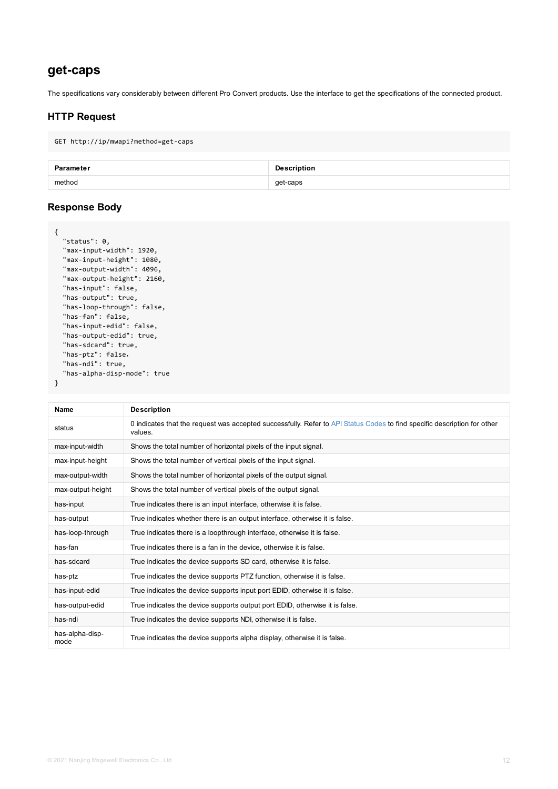```
"max-output-width": 4096,
  "max-output-height": 2160,
  "has-input": false,
  "has-output": true,
  "has-loop-through": false,
  "has-fan": false,
  "has-input-edid": false,
  "has-output-edid": true,
  "has-sdcard": true,
  "has-ptz": false,
  "has-ndi": true,
  "has-alpha-disp-mode": true
}
```

| <b>Name</b>             | <b>Description</b>                                                                                   |
|-------------------------|------------------------------------------------------------------------------------------------------|
| status                  | 0 indicates that the request was accepted successfully. Refer to API Status Codes to find<br>values. |
| max-input-width         | Shows the total number of horizontal pixels of the input signal.                                     |
| max-input-height        | Shows the total number of vertical pixels of the input signal.                                       |
| max-output-width        | Shows the total number of horizontal pixels of the output signal.                                    |
| max-output-height       | Shows the total number of vertical pixels of the output signal.                                      |
| has-input               | True indicates there is an input interface, otherwise it is false.                                   |
| has-output              | True indicates whether there is an output interface, otherwise it is false.                          |
| has-loop-through        | True indicates there is a loopthrough interface, otherwise it is false.                              |
| has-fan                 | True indicates there is a fan in the device, otherwise it is false.                                  |
| has-sdcard              | True indicates the device supports SD card, otherwise it is false.                                   |
| has-ptz                 | True indicates the device supports PTZ function, otherwise it is false.                              |
| has-input-edid          | True indicates the device supports input port EDID, otherwise it is false.                           |
| has-output-edid         | True indicates the device supports output port EDID, otherwise it is false.                          |
| has-ndi                 | True indicates the device supports NDI, otherwise it is false.                                       |
| has-alpha-disp-<br>mode | True indicates the device supports alpha display, otherwise it is false.                             |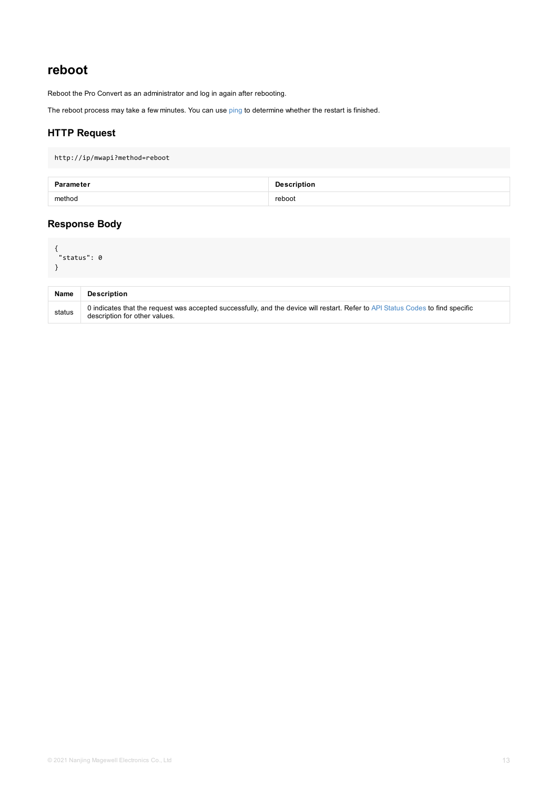<span id="page-12-0"></span>

| <b>Name</b> | <b>Description</b>                                                                                                                        |
|-------------|-------------------------------------------------------------------------------------------------------------------------------------------|
| status      | 0 indicates that the request was accepted successfully, and the device will restart. Refer to API Status<br>description for other values. |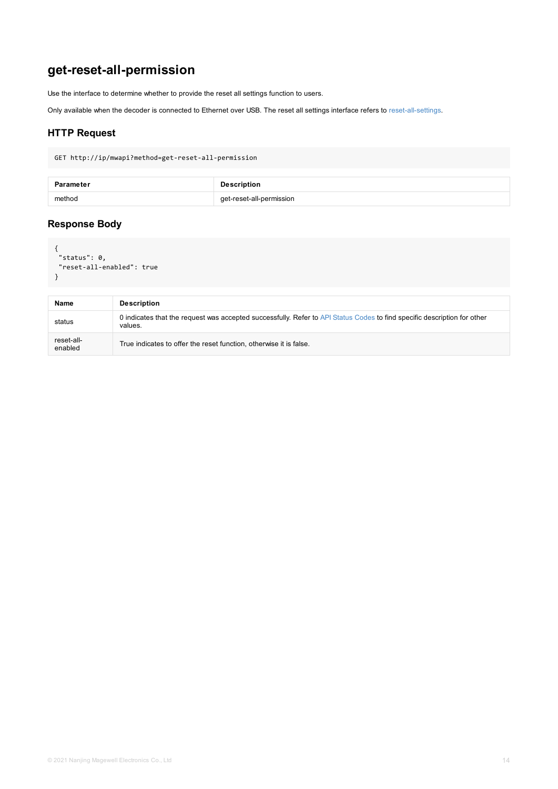```
"reset-all-enabled": true
}
```

| <b>Name</b>           | <b>Description</b>                                                                                      |
|-----------------------|---------------------------------------------------------------------------------------------------------|
| status                | 0 indicates that the request was accepted successfully. Refer to API Status Codes to find sp<br>values. |
| reset-all-<br>enabled | True indicates to offer the reset function, otherwise it is false.                                      |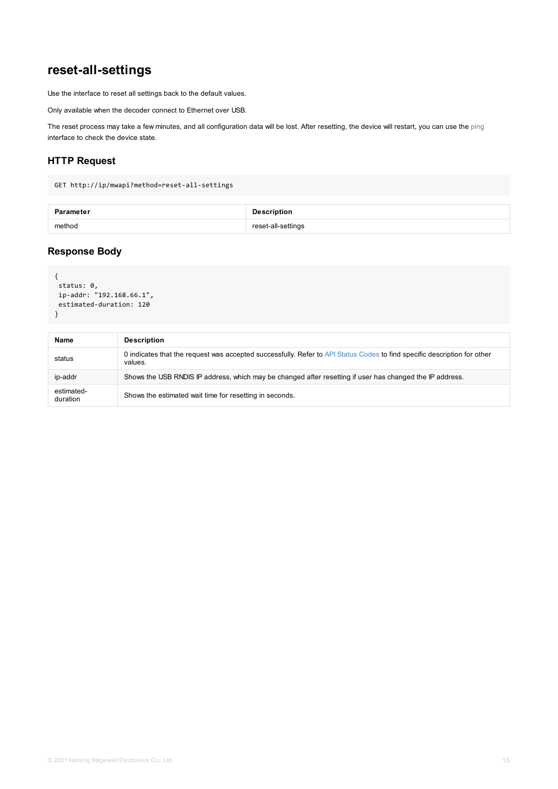```
{
status: 0,
ip-addr: "192.168.66.1",
estimated-duration: 120
}
```

| <b>Name</b>            | <b>Description</b>                                                                                     |
|------------------------|--------------------------------------------------------------------------------------------------------|
| status                 | 0 indicates that the request was accepted successfully. Refer to API Status Codes to find s<br>values. |
| ip-addr                | Shows the USB RNDIS IP address, which may be changed after resetting if user has chang                 |
| estimated-<br>duration | Shows the estimated wait time for resetting in seconds.                                                |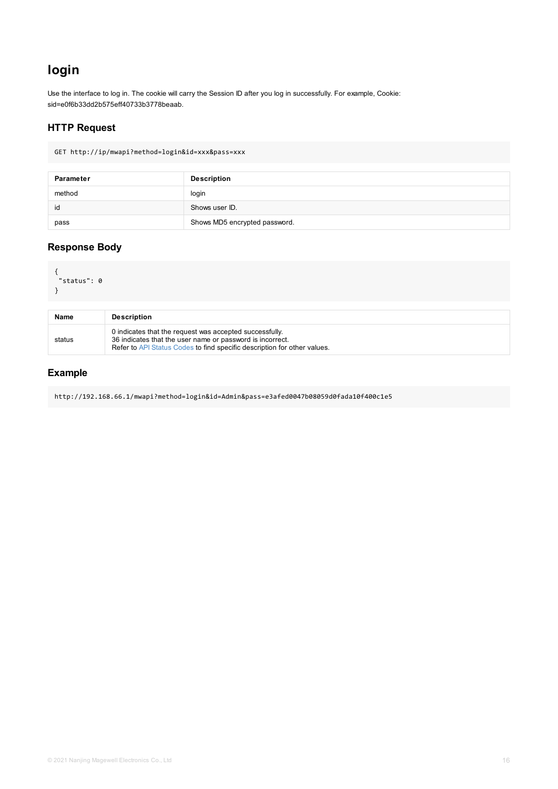```
{
 "status": 0
}
```

| <b>Name</b> | <b>Description</b>                                                                                                                                                                               |
|-------------|--------------------------------------------------------------------------------------------------------------------------------------------------------------------------------------------------|
| status      | 0 indicates that the request was accepted successfully.<br>36 indicates that the user name or password is incorrect.<br>Refer to API Status Codes to find specific description for other values. |

http://192.168.66.1/mwapi?method=login&id=Admin&pass=e3afed0047b08059d0fada10f400c1e5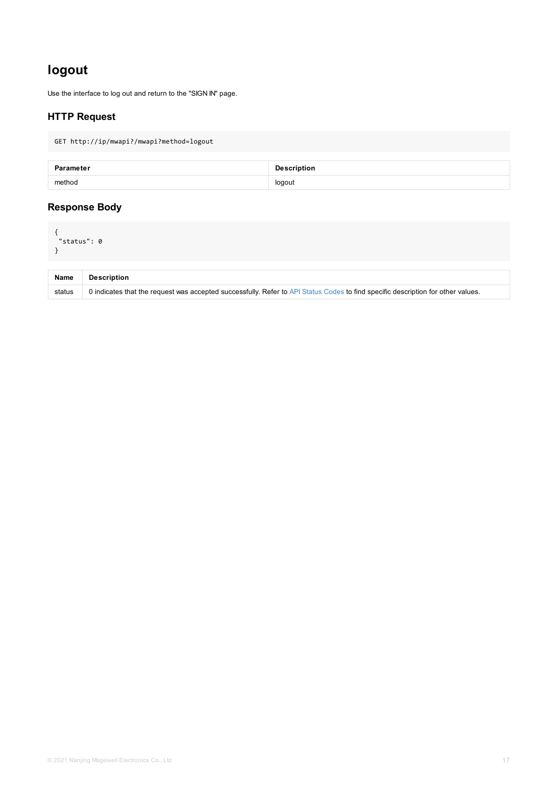<span id="page-16-0"></span>

| <b>Name</b> | <b>Description</b>                                                                                      |
|-------------|---------------------------------------------------------------------------------------------------------|
| status      | 0 indicates that the request was accepted successfully. Refer to API Status Codes to find specific desc |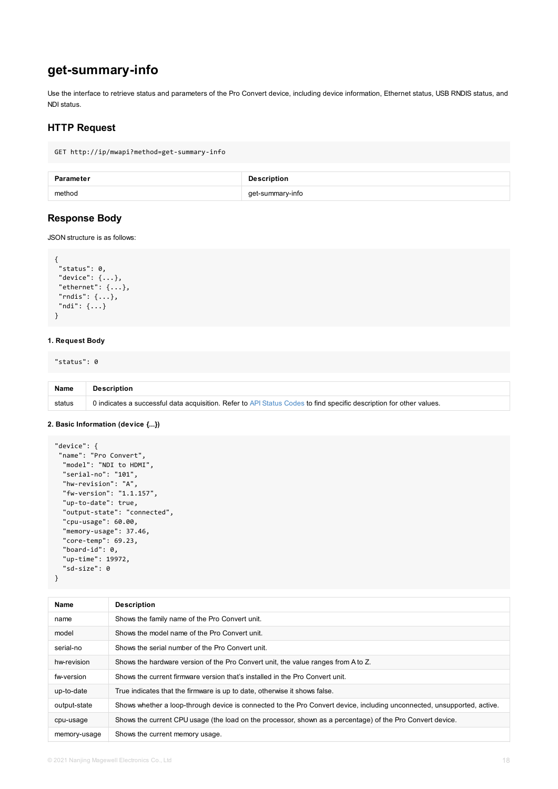```
"status": 0,
 "device": {...},
 "ethernet": {...},
 "rndis": {...},
"ndi": {...}
}
```
### **1. Request Body**

"status": 0

| <b>Name</b> | <b>Description</b>                                                                                       |
|-------------|----------------------------------------------------------------------------------------------------------|
| status      | 0 indicates a successful data acquisition. Refer to API Status Codes to find specific description for ot |

### **2. Basic Information (device {...})**

```
"device": {
 "name": "Pro Convert",
  "model": "NDI to HDMI",
  "serial-no": "101",
  "hw-revision": "A",
  "fw-version": "1.1.157",
  "up-to-date": true,
  "output-state": "connected",
  "cpu-usage": 60.00,
  "memory-usage": 37.46,
  "core-temp": 69.23,
  "board-id": 0,
  "up-time": 19972,
  "sd-size": 0
}
```

| <b>Name</b>  | <b>Description</b>                                                                         |
|--------------|--------------------------------------------------------------------------------------------|
| name         | Shows the family name of the Pro Convert unit.                                             |
| model        | Shows the model name of the Pro Convert unit.                                              |
| serial-no    | Shows the serial number of the Pro Convert unit.                                           |
| hw-revision  | Shows the hardware version of the Pro Convert unit, the value ranges from A to Z.          |
| fw-version   | Shows the current firmware version that's installed in the Pro Convert unit.               |
| up-to-date   | True indicates that the firmware is up to date, otherwise it shows false.                  |
| output-state | Shows whether a loop-through device is connected to the Pro Convert device, including unco |
| cpu-usage    | Shows the current CPU usage (the load on the processor, shown as a percentage) of the Pro  |
| memory-usage | Shows the current memory usage.                                                            |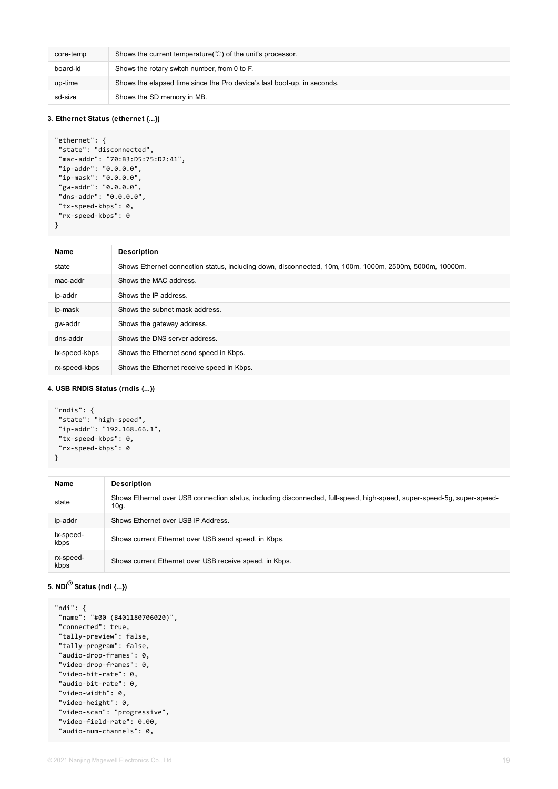| core-temp | Shows the current temperature( $\degree$ C) of the unit's processor.    |
|-----------|-------------------------------------------------------------------------|
| board-id  | Shows the rotary switch number, from 0 to F.                            |
| up-time   | Shows the elapsed time since the Pro device's last boot-up, in seconds. |
| sd-size   | Shows the SD memory in MB.                                              |

### **3. Ethernet Status (ethernet {...})**

```
"ethernet": {
 "state": "disconnected",
 "mac-addr": "70:B3:D5:75:D2:41",
 "ip-addr": "0.0.0.0",
 "ip-mask": "0.0.0.0",
 "gw-addr": "0.0.0.0",
 "dns-addr": "0.0.0.0",
 "tx-speed-kbps": 0,
 "rx-speed-kbps": 0
}
```

| <b>Name</b>   | <b>Description</b>                                                                                      |
|---------------|---------------------------------------------------------------------------------------------------------|
| state         | Shows Ethernet connection status, including down, disconnected, 10m, 100m, 1000m, 2500m, 5000m, 10000m. |
| mac-addr      | Shows the MAC address.                                                                                  |
| ip-addr       | Shows the IP address.                                                                                   |
| ip-mask       | Shows the subnet mask address.                                                                          |
| gw-addr       | Shows the gateway address.                                                                              |
| dns-addr      | Shows the DNS server address.                                                                           |
| tx-speed-kbps | Shows the Ethernet send speed in Kbps.                                                                  |
| rx-speed-kbps | Shows the Ethernet receive speed in Kbps.                                                               |

#### **4. USB RNDIS Status (rndis {...})**

```
"rndis": {
 "state": "high-speed",
 "ip-addr": "192.168.66.1",
 "tx-speed-kbps": 0,
 "rx-speed-kbps": 0
}
```

| <b>Name</b>       | <b>Description</b>                                                                                                              |
|-------------------|---------------------------------------------------------------------------------------------------------------------------------|
| state             | Shows Ethernet over USB connection status, including disconnected, full-speed, high-speed, super-speed-5g, super-speed-<br>10g. |
| ip-addr           | Shows Ethernet over USB IP Address.                                                                                             |
| tx-speed-<br>kbps | Shows current Ethernet over USB send speed, in Kbps.                                                                            |
| rx-speed-<br>kbps | Shows current Ethernet over USB receive speed, in Kbps.                                                                         |

```
"ndi": {
"name": "#00 (B401180706020)",
"connected": true,
"tally-preview": false,
"tally-program": false,
"audio-drop-frames": 0,
"video-drop-frames": 0,
"video-bit-rate": 0,
"audio-bit-rate": 0,
"video-width": 0,
"video-height": 0,
"video-scan": "progressive",
"video-field-rate": 0.00,
"audio-num-channels": 0,
```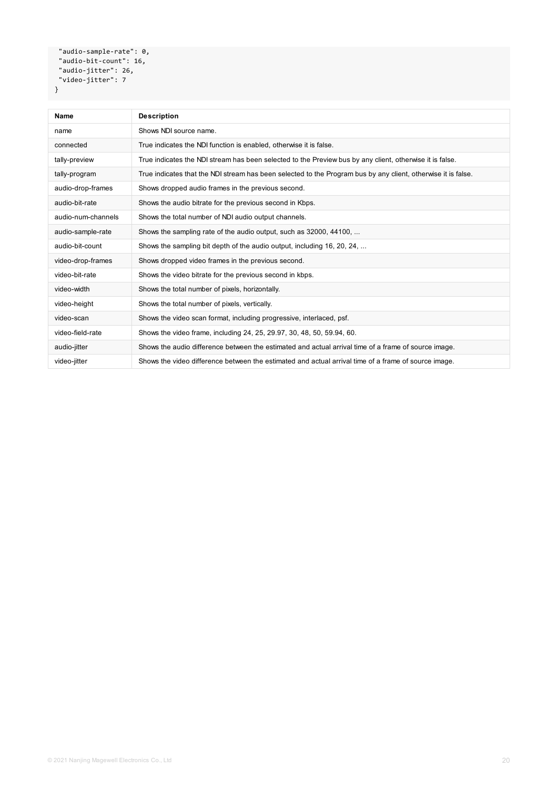```
"audio-sample-rate": 0,
"audio-bit-count": 16,
 "audio-jitter": 26,
 "video-jitter": 7
}
```

| <b>Name</b>        | <b>Description</b>                                                                                            |
|--------------------|---------------------------------------------------------------------------------------------------------------|
| name               | Shows NDI source name.                                                                                        |
| connected          | True indicates the NDI function is enabled, otherwise it is false.                                            |
| tally-preview      | True indicates the NDI stream has been selected to the Preview bus by any client, otherwise it is false.      |
| tally-program      | True indicates that the NDI stream has been selected to the Program bus by any client, otherwise it is false. |
| audio-drop-frames  | Shows dropped audio frames in the previous second.                                                            |
| audio-bit-rate     | Shows the audio bitrate for the previous second in Kbps.                                                      |
| audio-num-channels | Shows the total number of NDI audio output channels.                                                          |
| audio-sample-rate  | Shows the sampling rate of the audio output, such as 32000, 44100,                                            |
| audio-bit-count    | Shows the sampling bit depth of the audio output, including 16, 20, 24,                                       |
| video-drop-frames  | Shows dropped video frames in the previous second.                                                            |
| video-bit-rate     | Shows the video bitrate for the previous second in kbps.                                                      |
| video-width        | Shows the total number of pixels, horizontally.                                                               |
| video-height       | Shows the total number of pixels, vertically.                                                                 |
| video-scan         | Shows the video scan format, including progressive, interlaced, psf.                                          |
| video-field-rate   | Shows the video frame, including 24, 25, 29.97, 30, 48, 50, 59.94, 60.                                        |
| audio-jitter       | Shows the audio difference between the estimated and actual arrival time of a frame of source image.          |
| video-jitter       | Shows the video difference between the estimated and actual arrival time of a frame of source image.          |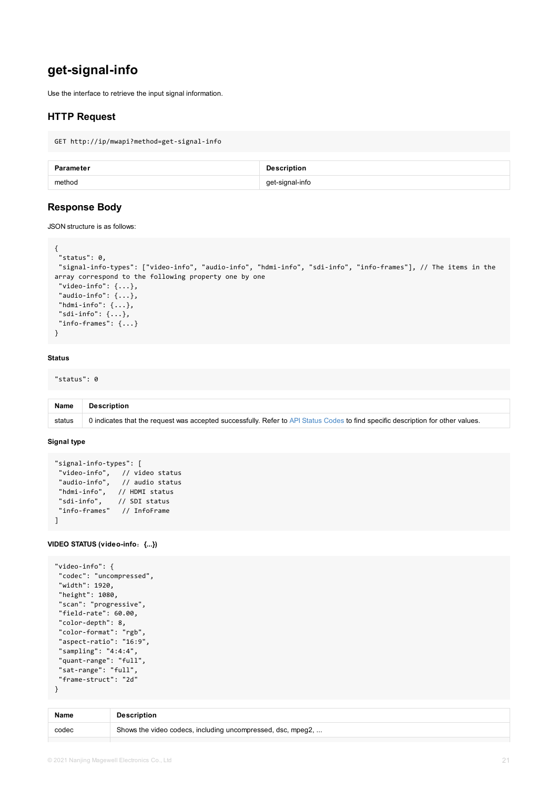```
"signal-info-types": ["video-info", "audio-info", "hdmi-info", "sdi-info", "info-frames
array correspond to the following property one by one
 "video-info": \{ \ldots \},
 "audio-info": {...},
 "hdmi-info": {...},
"sdi-info": \{\ldots\},
"info-frames": {...}
}
```
#### **Status**

"status": 0

| <b>Name</b> | <b>Description</b>                                                                                      |
|-------------|---------------------------------------------------------------------------------------------------------|
| status      | 0 indicates that the request was accepted successfully. Refer to API Status Codes to find specific desc |

#### **Signal type**

```
"signal-info-types": [
"video-info", // video status
"audio-info", // audio status
"hdmi-info", // HDMI status
"sdi-info", // SDI status
"info-frames" // InfoFrame
]
```
#### **VIDEO STATUS (video-info**:**{...})**

```
"video-info": {
 "codec": "uncompressed",
 "width": 1920,
 "height": 1080,
 "scan": "progressive",
 "field-rate": 60.00,
 "color-depth": 8,
 "color-format": "rgb",
 "aspect-ratio": "16:9",
 "sampling": "4:4:4",
 "quant-range": "full",
 "sat-range": "full",
 "frame-struct": "2d"
}
```
**Name Description** codec Shows the video codecs, including uncompressed, dsc, mpeg2, ...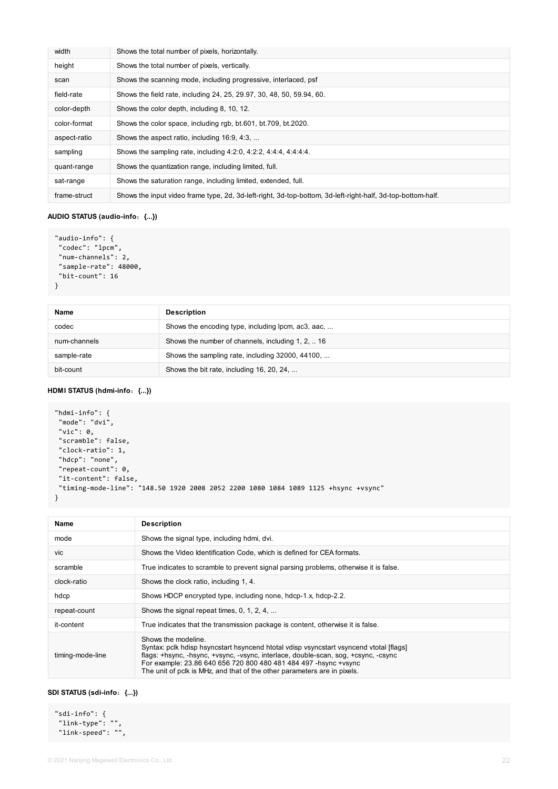| width        | Shows the total number of pixels, horizontally.                                                             |
|--------------|-------------------------------------------------------------------------------------------------------------|
| height       | Shows the total number of pixels, vertically.                                                               |
| scan         | Shows the scanning mode, including progressive, interlaced, psf                                             |
| field-rate   | Shows the field rate, including 24, 25, 29.97, 30, 48, 50, 59.94, 60.                                       |
| color-depth  | Shows the color depth, including 8, 10, 12.                                                                 |
| color-format | Shows the color space, including rgb, bt.601, bt.709, bt.2020.                                              |
| aspect-ratio | Shows the aspect ratio, including 16:9, 4:3,                                                                |
| sampling     | Shows the sampling rate, including 4:2:0, 4:2:2, 4:4:4, 4:4:4:4.                                            |
| quant-range  | Shows the quantization range, including limited, full.                                                      |
| sat-range    | Shows the saturation range, including limited, extended, full.                                              |
| frame-struct | Shows the input video frame type, 2d, 3d-left-right, 3d-top-bottom, 3d-left-right-half, 3d-top-bottom-half. |

### **AUDIO STATUS (audio-info**:**{...})**

```
"audio-info": {
 "codec": "lpcm",
 "num-channels": 2,
 "sample-rate": 48000,
 "bit-count": 16
}
```

| <b>Name</b>  | <b>Description</b>                                 |
|--------------|----------------------------------------------------|
| codec        | Shows the encoding type, including lpcm, ac3, aac, |
| num-channels | Shows the number of channels, including 1, 2,  16  |
| sample-rate  | Shows the sampling rate, including 32000, 44100,   |
| bit-count    | Shows the bit rate, including 16, 20, 24,          |

### **HDMI STATUS (hdmi-info**:**{...})**

```
"hdmi-info": {
 "mode": "dvi",
"vic": 0,
 "scramble": false,
 "clock-ratio": 1,
 "hdcp": "none",
 "repeat-count": 0,
 "it-content": false,
 "timing-mode-line": "148.50 1920 2008 2052 2200 1080 1084 1089 1125 +hsync +vsync"
}
```

| <b>Name</b>      | <b>Description</b>                                                                                                                                                                                                                                                                                                                                  |
|------------------|-----------------------------------------------------------------------------------------------------------------------------------------------------------------------------------------------------------------------------------------------------------------------------------------------------------------------------------------------------|
| mode             | Shows the signal type, including hdmi, dvi.                                                                                                                                                                                                                                                                                                         |
| Vic.             | Shows the Video Identification Code, which is defined for CEA formats.                                                                                                                                                                                                                                                                              |
| scramble         | True indicates to scramble to prevent signal parsing problems, otherwise it is false.                                                                                                                                                                                                                                                               |
| clock-ratio      | Shows the clock ratio, including 1, 4.                                                                                                                                                                                                                                                                                                              |
| hdcp             | Shows HDCP encrypted type, including none, hdcp-1.x, hdcp-2.2.                                                                                                                                                                                                                                                                                      |
| repeat-count     | Shows the signal repeat times, 0, 1, 2, 4,                                                                                                                                                                                                                                                                                                          |
| it-content       | True indicates that the transmission package is content, otherwise it is false.                                                                                                                                                                                                                                                                     |
| timing-mode-line | Shows the modeline.<br>Syntax: pclk hdisp hsyncstart hsyncend htotal vdisp vsyncstart vsyncend vtotal [flags]<br>flags: +hsync, -hsync, +vsync, -vsync, interlace, double-scan, sog, +csync, -csync<br>For example: 23.86 640 656 720 800 480 481 484 497 -hsync +vsync<br>The unit of pclk is MHz, and that of the other parameters are in pixels. |

### **SDI STATUS (sdi-info**:**{...})**

"sdi-info": { "link-type": "", "link-speed": "",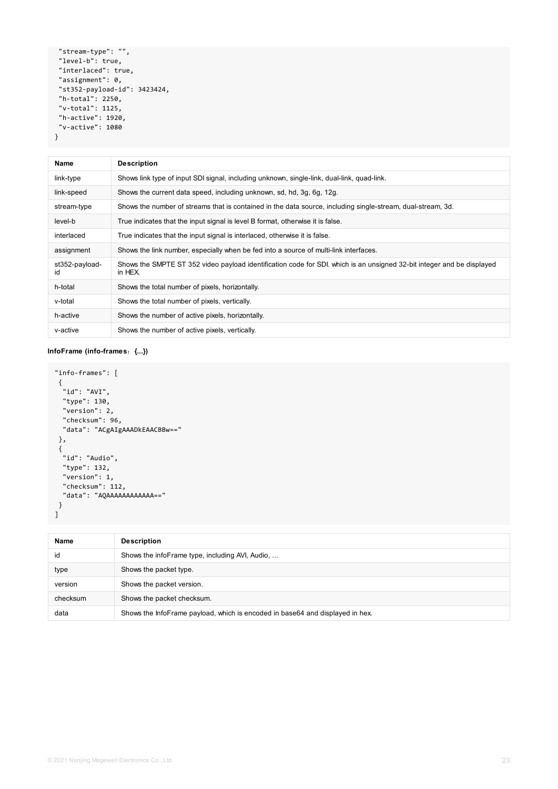```
"stream-type": "",
 "level-b": true,
 "interlaced": true,
 "assignment": 0,
 "st352-payload-id": 3423424,
 "h-total": 2250,
 "v-total": 1125,
 "h-active": 1920,
 "v-active": 1080
}
```

```
"info-frames": [
 {
 "id": "AVI",
 "type": 130,
 "version": 2,
 "checksum": 96,
 "data": "ACgAIgAAADkEAACBBw=="
 },
 {
 "id": "Audio",
 "type": 132,
  "version": 1,
 "checksum": 112,
 "data": "AQAAAAAAAAAAAA=="
}
\mathbf{I}
```

| <b>Name</b>          | <b>Description</b>                                                                                                                |
|----------------------|-----------------------------------------------------------------------------------------------------------------------------------|
| link-type            | Shows link type of input SDI signal, including unknown, single-link, dual-link, quad-link.                                        |
| link-speed           | Shows the current data speed, including unknown, sd, hd, 3g, 6g, 12g.                                                             |
| stream-type          | Shows the number of streams that is contained in the data source, including single-stream, dual-stream, 3d.                       |
| level-b              | True indicates that the input signal is level B format, otherwise it is false.                                                    |
| interlaced           | True indicates that the input signal is interlaced, otherwise it is false.                                                        |
| assignment           | Shows the link number, especially when be fed into a source of multi-link interfaces.                                             |
| st352-payload-<br>id | Shows the SMPTE ST 352 video payload identification code for SDI. which is an unsigned 32-bit integer and be displayed<br>in HEX. |
| h-total              | Shows the total number of pixels, horizontally.                                                                                   |
| v-total              | Shows the total number of pixels, vertically.                                                                                     |
| h-active             | Shows the number of active pixels, horizontally.                                                                                  |
| v-active             | Shows the number of active pixels, vertically.                                                                                    |

### **InfoFrame (info-frames**:**{...})**

| Name    | <b>Description</b>                              |
|---------|-------------------------------------------------|
| id      | Shows the infoFrame type, including AVI, Audio, |
| type    | Shows the packet type.                          |
| version | Shows the packet version.                       |
|         |                                                 |

| checksum | Shows the packet checksum.                                                    |
|----------|-------------------------------------------------------------------------------|
| data     | Shows the InfoFrame payload, which is encoded in base64 and displayed in hex. |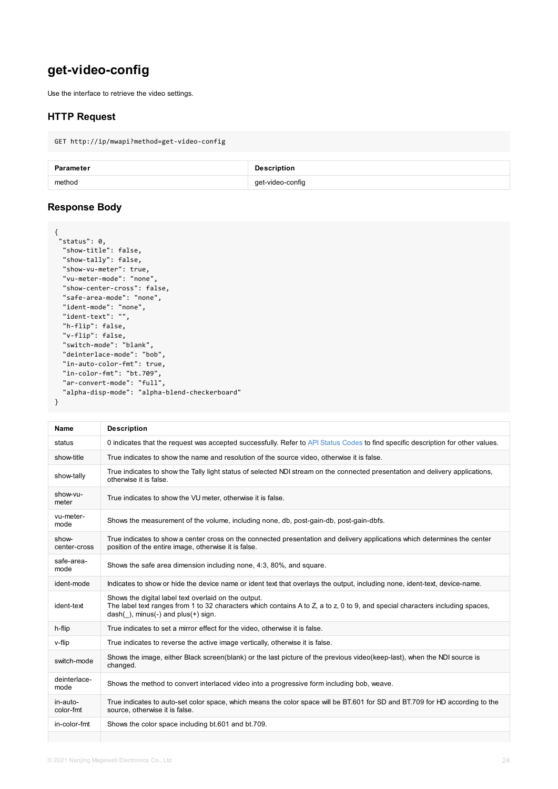```
"show-vu-meter": true,
  "vu-meter-mode": "none",
  "show-center-cross": false,
  "safe-area-mode": "none",
  "ident-mode": "none",
  "ident-text": "",
  "h-flip": false,
  "v-flip": false,
  "switch-mode": "blank",
  "deinterlace-mode": "bob",
  "in-auto-color-fmt": true,
  "in-color-fmt": "bt.709",
  "ar-convert-mode": "full",
  "alpha-disp-mode": "alpha-blend-checkerboard"
}
```

| <b>Name</b>           | <b>Description</b>                                                                                                                                                                                    |
|-----------------------|-------------------------------------------------------------------------------------------------------------------------------------------------------------------------------------------------------|
| status                | 0 indicates that the request was accepted successfully. Refer to API Status Codes to find specifi                                                                                                     |
| show-title            | True indicates to show the name and resolution of the source video, otherwise it is false.                                                                                                            |
| show-tally            | True indicates to show the Tally light status of selected NDI stream on the connected presentation<br>otherwise it is false.                                                                          |
| show-vu-<br>meter     | True indicates to show the VU meter, otherwise it is false.                                                                                                                                           |
| vu-meter-<br>mode     | Shows the measurement of the volume, including none, db, post-gain-db, post-gain-dbfs.                                                                                                                |
| show-<br>center-cross | True indicates to show a center cross on the connected presentation and delivery applications y<br>position of the entire image, otherwise it is false.                                               |
| safe-area-<br>mode    | Shows the safe area dimension including none, 4:3, 80%, and square.                                                                                                                                   |
| ident-mode            | Indicates to show or hide the device name or ident text that overlays the output, including none,                                                                                                     |
| ident-text            | Shows the digital label text overlaid on the output.<br>The label text ranges from 1 to 32 characters which contains A to Z, a to z, 0 to 9, and special ch<br>$dash( )$ , minus(-) and plus(+) sign. |
| h-flip                | True indicates to set a mirror effect for the video, otherwise it is false.                                                                                                                           |
| v-flip                | True indicates to reverse the active image vertically, otherwise it is false.                                                                                                                         |
| switch-mode           | Shows the image, either Black screen(blank) or the last picture of the previous video(keep-last),<br>changed.                                                                                         |
| deinterlace-<br>mode  | Shows the method to convert interlaced video into a progressive form including bob, weave.                                                                                                            |
| in-auto-<br>color-fmt | True indicates to auto-set color space, which means the color space will be BT.601 for SD and E<br>source, otherwise it is false.                                                                     |
| in-color-fmt          | Shows the color space including bt.601 and bt.709.                                                                                                                                                    |
|                       |                                                                                                                                                                                                       |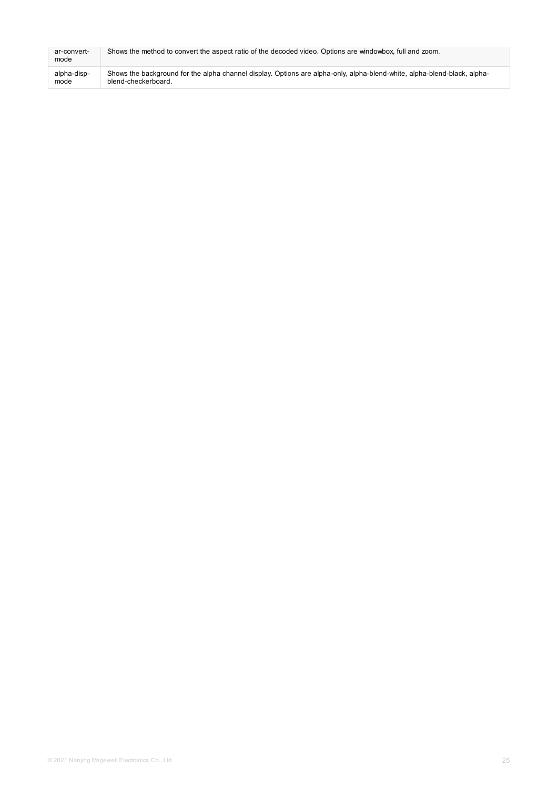| ar-convert-<br>mode | Shows the method to convert the aspect ratio of the decoded video. Options are windowbox, full and zoom.                 |
|---------------------|--------------------------------------------------------------------------------------------------------------------------|
| alpha-disp-         | Shows the background for the alpha channel display. Options are alpha-only, alpha-blend-white, alpha-blend-black, alpha- |
| mode                | blend-checkerboard.                                                                                                      |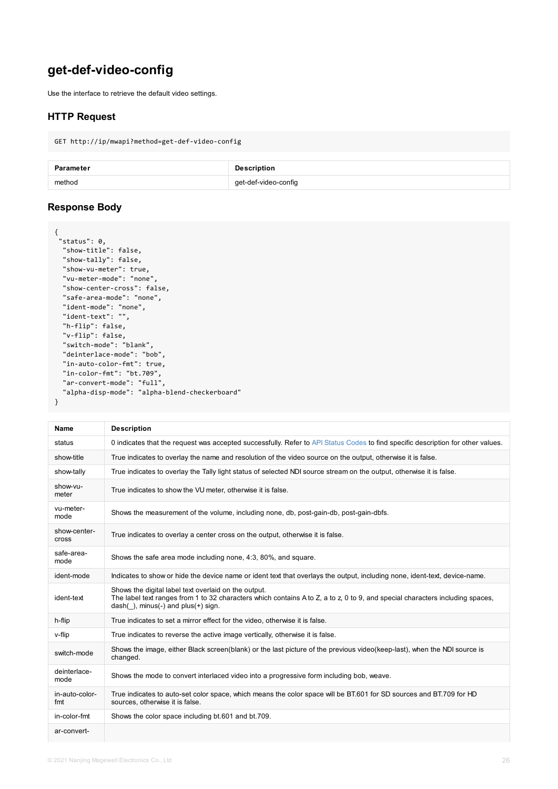```
"show-vu-meter": true,
  "vu-meter-mode": "none",
  "show-center-cross": false,
  "safe-area-mode": "none",
  "ident-mode": "none",
  "ident-text": "",
  "h-flip": false,
  "v-flip": false,
  "switch-mode": "blank",
  "deinterlace-mode": "bob",
  "in-auto-color-fmt": true,
  "in-color-fmt": "bt.709",
  "ar-convert-mode": "full",
  "alpha-disp-mode": "alpha-blend-checkerboard"
}
```

| <b>Name</b>                  | <b>Description</b>                                                                                                                                                                                |
|------------------------------|---------------------------------------------------------------------------------------------------------------------------------------------------------------------------------------------------|
| status                       | 0 indicates that the request was accepted successfully. Refer to API Status Codes to find spec                                                                                                    |
| show-title                   | True indicates to overlay the name and resolution of the video source on the output, otherwise                                                                                                    |
| show-tally                   | True indicates to overlay the Tally light status of selected NDI source stream on the output, oth                                                                                                 |
| show-vu-<br>meter            | True indicates to show the VU meter, otherwise it is false.                                                                                                                                       |
| vu-meter-<br>mode            | Shows the measurement of the volume, including none, db, post-gain-db, post-gain-dbfs.                                                                                                            |
| show-center-<br><b>Cross</b> | True indicates to overlay a center cross on the output, otherwise it is false.                                                                                                                    |
| safe-area-<br>mode           | Shows the safe area mode including none, 4:3, 80%, and square.                                                                                                                                    |
| ident-mode                   | Indicates to show or hide the device name or ident text that overlays the output, including none                                                                                                  |
| ident-text                   | Shows the digital label text overlaid on the output.<br>The label text ranges from 1 to 32 characters which contains A to Z, a to z, 0 to 9, and special of<br>dash(), minus(-) and plus(+) sign. |
| h-flip                       | True indicates to set a mirror effect for the video, otherwise it is false.                                                                                                                       |
| v-flip                       | True indicates to reverse the active image vertically, otherwise it is false.                                                                                                                     |
| switch-mode                  | Shows the image, either Black screen(blank) or the last picture of the previous video(keep-last<br>changed.                                                                                       |
| deinterlace-<br>mode         | Shows the mode to convert interlaced video into a progressive form including bob, weave.                                                                                                          |
| in-auto-color-<br>fmt        | True indicates to auto-set color space, which means the color space will be BT.601 for SD sour<br>sources, otherwise it is false.                                                                 |
| in-color-fmt                 | Shows the color space including bt.601 and bt.709.                                                                                                                                                |
| ar-convert-                  |                                                                                                                                                                                                   |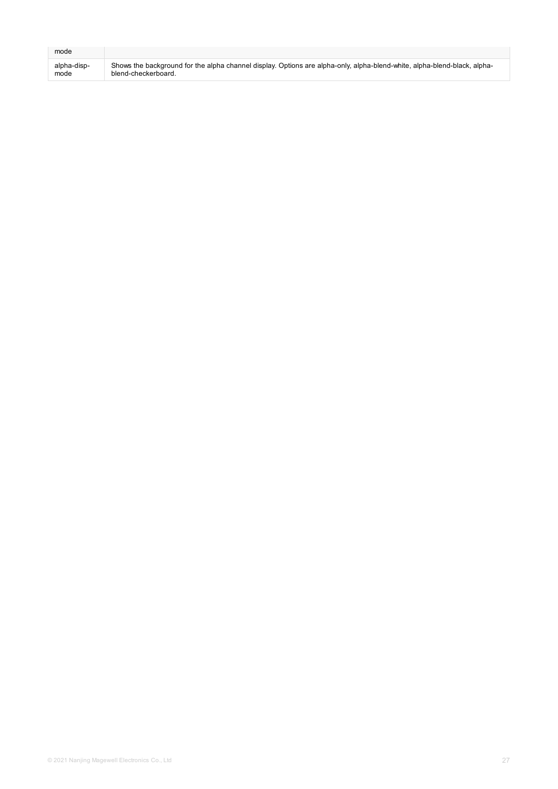| mode        |                                                                                                                          |
|-------------|--------------------------------------------------------------------------------------------------------------------------|
| alpha-disp- | Shows the background for the alpha channel display. Options are alpha-only, alpha-blend-white, alpha-blend-black, alpha- |
| mode        | blend-checkerboard.                                                                                                      |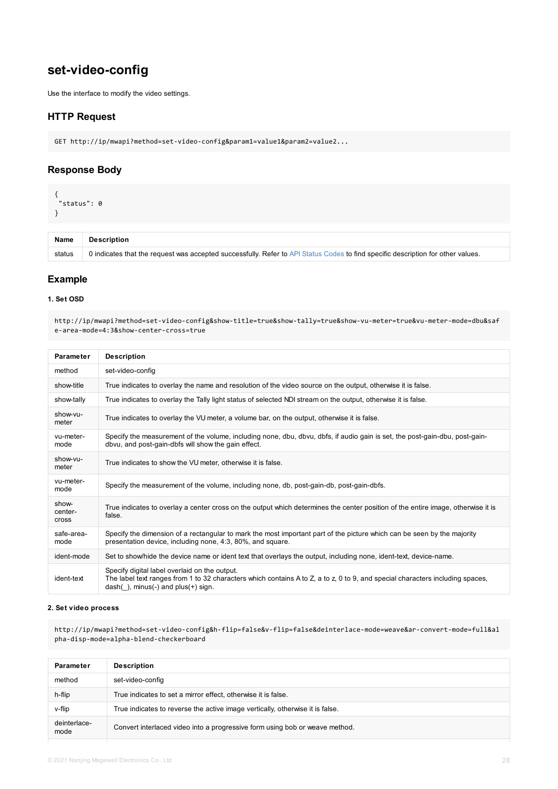### **1. Set OSD**

http://ip/mwapi?method=set-video-config&show-title=true&show-tally=true&show-vu-meter=tru e-area-mode=4:3&show-center-cross=true

| <b>Parameter</b>                 | <b>Description</b>                                                                                                                                                                            |
|----------------------------------|-----------------------------------------------------------------------------------------------------------------------------------------------------------------------------------------------|
| method                           | set-video-config                                                                                                                                                                              |
| show-title                       | True indicates to overlay the name and resolution of the video source on the output, otherwise it                                                                                             |
| show-tally                       | True indicates to overlay the Tally light status of selected NDI stream on the output, otherwise it is                                                                                        |
| show-vu-<br>meter                | True indicates to overlay the VU meter, a volume bar, on the output, otherwise it is false.                                                                                                   |
| vu-meter-<br>mode                | Specify the measurement of the volume, including none, dbu, dbvu, dbfs, if audio gain is set, the<br>dbvu, and post-gain-dbfs will show the gain effect.                                      |
| show-vu-<br>meter                | True indicates to show the VU meter, otherwise it is false.                                                                                                                                   |
| vu-meter-<br>mode                | Specify the measurement of the volume, including none, db, post-gain-db, post-gain-dbfs.                                                                                                      |
| show-<br>center-<br><b>Cross</b> | True indicates to overlay a center cross on the output which determines the center position of the<br>false.                                                                                  |
| safe-area-<br>mode               | Specify the dimension of a rectangular to mark the most important part of the picture which can b<br>presentation device, including none, 4:3, 80%, and square.                               |
| ident-mode                       | Set to show/hide the device name or ident text that overlays the output, including none, ident-tex                                                                                            |
| ident-text                       | Specify digital label overlaid on the output.<br>The label text ranges from 1 to 32 characters which contains A to Z, a to z, 0 to 9, and special ch<br>$dash($ ), minus(-) and plus(+) sign. |

#### **2. Set video process**

http://ip/mwapi?method=set-video-config&h-flip=false&v-flip=false&deinterlace-mode=weave pha-disp-mode=alpha-blend-checkerboard

| <b>Parameter</b>     | <b>Description</b>                                                            |
|----------------------|-------------------------------------------------------------------------------|
| method               | set-video-config                                                              |
| h-flip               | True indicates to set a mirror effect, otherwise it is false.                 |
| v-flip               | True indicates to reverse the active image vertically, otherwise it is false. |
| deinterlace-<br>mode | Convert interlaced video into a progressive form using bob or weave method.   |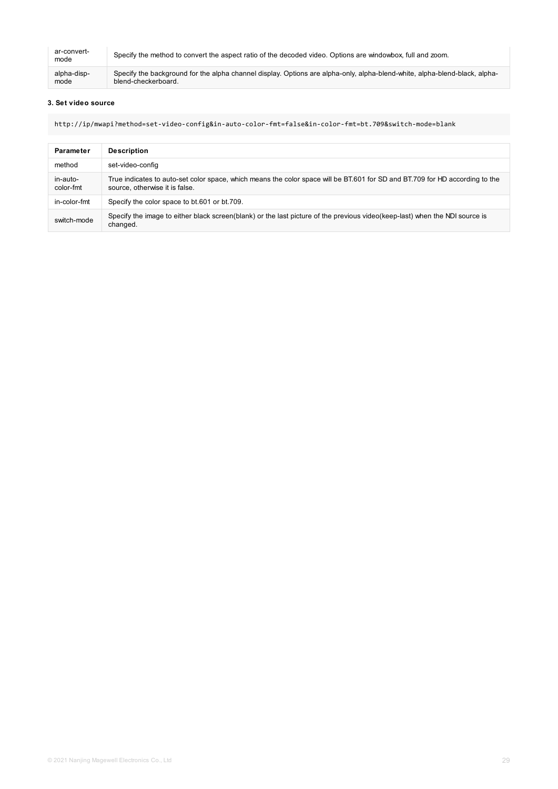| ar-convert-<br>mode | Specify the method to convert the aspect ratio of the decoded video. Options are windowbox, full and zoom.                 |
|---------------------|----------------------------------------------------------------------------------------------------------------------------|
| alpha-disp-         | Specify the background for the alpha channel display. Options are alpha-only, alpha-blend-white, alpha-blend-black, alpha- |
| mode                | blend-checkerboard.                                                                                                        |

#### **3. Set video source**

http://ip/mwapi?method=set-video-config&in-auto-color-fmt=false&in-color-fmt=bt.709&switch-mode=blank

| <b>Parameter</b>      | <b>Description</b>                                                                                                                                             |
|-----------------------|----------------------------------------------------------------------------------------------------------------------------------------------------------------|
| method                | set-video-config                                                                                                                                               |
| in-auto-<br>color-fmt | True indicates to auto-set color space, which means the color space will be BT.601 for SD and BT.709 for HD according to the<br>source, otherwise it is false. |
| in-color-fmt          | Specify the color space to bt.601 or bt.709.                                                                                                                   |
| switch-mode           | Specify the image to either black screen(blank) or the last picture of the previous video(keep-last) when the NDI source is<br>changed.                        |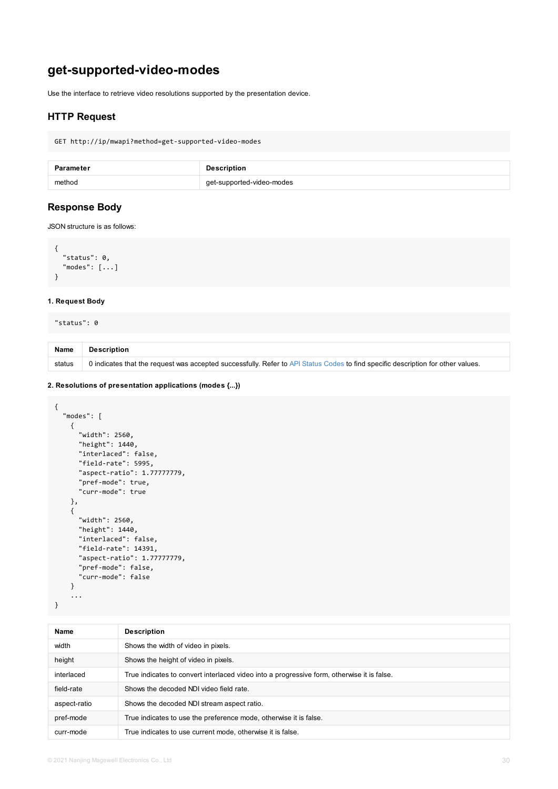```
"modes": [...]
}
```
### **1. Request Body**

"status": 0

| <b>Name</b> | Description                                                                                             |
|-------------|---------------------------------------------------------------------------------------------------------|
| status      | 0 indicates that the request was accepted successfully. Refer to API Status Codes to find specific desc |

### **2. Resolutions of presentation applications (modes {...})**

```
{
  "modes": [
   {
     "width": 2560,
      "height": 1440,
      "interlaced": false,
      "field-rate": 5995,
      "aspect-ratio": 1.77777779,
      "pref-mode": true,
      "curr-mode": true
    },
    {
      "width": 2560,
      "height": 1440,
      "interlaced": false,
      "field-rate": 14391,
      "aspect-ratio": 1.77777779,
      "pref-mode": false,
      "curr-mode": false
    }
    ...
}
```

| <b>Name</b>  | <b>Description</b>                                                                         |
|--------------|--------------------------------------------------------------------------------------------|
| width        | Shows the width of video in pixels.                                                        |
| height       | Shows the height of video in pixels.                                                       |
| interlaced   | True indicates to convert interlaced video into a progressive form, otherwise it is false. |
| field-rate   | Shows the decoded NDI video field rate.                                                    |
| aspect-ratio | Shows the decoded NDI stream aspect ratio.                                                 |
| pref-mode    | True indicates to use the preference mode, otherwise it is false.                          |
| curr-mode    | True indicates to use current mode, otherwise it is false.                                 |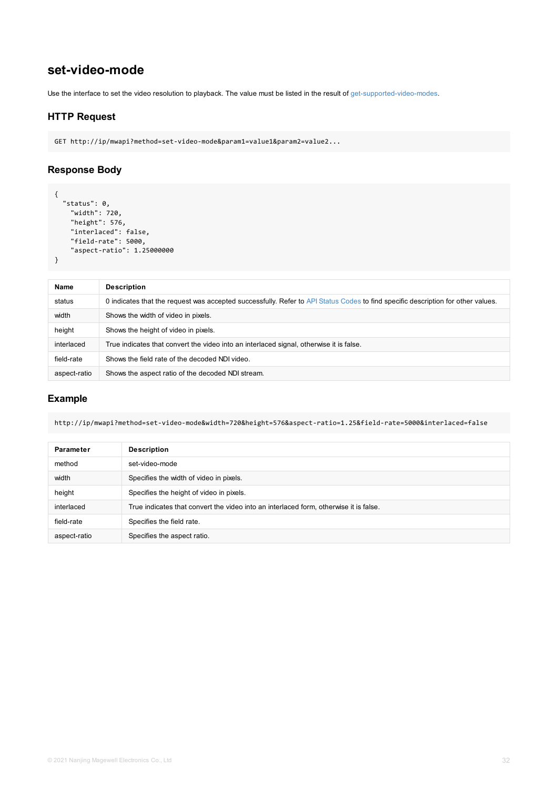| <b>Name</b>  | <b>Description</b>                                                                                 |
|--------------|----------------------------------------------------------------------------------------------------|
| status       | 0 indicates that the request was accepted successfully. Refer to API Status Codes to find specific |
| width        | Shows the width of video in pixels.                                                                |
| height       | Shows the height of video in pixels.                                                               |
| interlaced   | True indicates that convert the video into an interlaced signal, otherwise it is false.            |
| field-rate   | Shows the field rate of the decoded NDI video.                                                     |
| aspect-ratio | Shows the aspect ratio of the decoded NDI stream.                                                  |

http://ip/mwapi?method=set-video-mode&width=720&height=576&aspect-ratio=1.25&field-rate=

| <b>Parameter</b> | <b>Description</b>                                                                    |
|------------------|---------------------------------------------------------------------------------------|
| method           | set-video-mode                                                                        |
| width            | Specifies the width of video in pixels.                                               |
| height           | Specifies the height of video in pixels.                                              |
| interlaced       | True indicates that convert the video into an interlaced form, otherwise it is false. |
| field-rate       | Specifies the field rate.                                                             |
| aspect-ratio     | Specifies the aspect ratio.                                                           |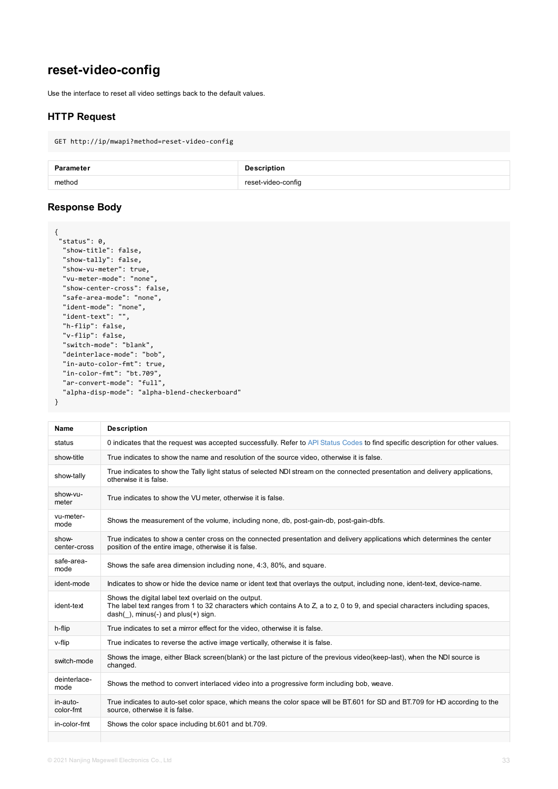```
"show-vu-meter": true,
  "vu-meter-mode": "none",
  "show-center-cross": false,
  "safe-area-mode": "none",
  "ident-mode": "none",
  "ident-text": "",
  "h-flip": false,
  "v-flip": false,
  "switch-mode": "blank",
  "deinterlace-mode": "bob",
  "in-auto-color-fmt": true,
  "in-color-fmt": "bt.709",
  "ar-convert-mode": "full",
  "alpha-disp-mode": "alpha-blend-checkerboard"
}
```

|  | <b>Name</b>           | <b>Description</b>                                                                                                                                                                                    |
|--|-----------------------|-------------------------------------------------------------------------------------------------------------------------------------------------------------------------------------------------------|
|  | status                | 0 indicates that the request was accepted successfully. Refer to API Status Codes to find specifi                                                                                                     |
|  | show-title            | True indicates to show the name and resolution of the source video, otherwise it is false.                                                                                                            |
|  | show-tally            | True indicates to show the Tally light status of selected NDI stream on the connected presentation<br>otherwise it is false.                                                                          |
|  | show-vu-<br>meter     | True indicates to show the VU meter, otherwise it is false.                                                                                                                                           |
|  | vu-meter-<br>mode     | Shows the measurement of the volume, including none, db, post-gain-db, post-gain-dbfs.                                                                                                                |
|  | show-<br>center-cross | True indicates to show a center cross on the connected presentation and delivery applications y<br>position of the entire image, otherwise it is false.                                               |
|  | safe-area-<br>mode    | Shows the safe area dimension including none, 4:3, 80%, and square.                                                                                                                                   |
|  | ident-mode            | Indicates to show or hide the device name or ident text that overlays the output, including none,                                                                                                     |
|  | ident-text            | Shows the digital label text overlaid on the output.<br>The label text ranges from 1 to 32 characters which contains A to Z, a to z, 0 to 9, and special ch<br>$dash( )$ , minus(-) and plus(+) sign. |
|  | h-flip                | True indicates to set a mirror effect for the video, otherwise it is false.                                                                                                                           |
|  | v-flip                | True indicates to reverse the active image vertically, otherwise it is false.                                                                                                                         |
|  | switch-mode           | Shows the image, either Black screen(blank) or the last picture of the previous video(keep-last),<br>changed.                                                                                         |
|  | deinterlace-<br>mode  | Shows the method to convert interlaced video into a progressive form including bob, weave.                                                                                                            |
|  | in-auto-<br>color-fmt | True indicates to auto-set color space, which means the color space will be BT.601 for SD and E<br>source, otherwise it is false.                                                                     |
|  | in-color-fmt          | Shows the color space including bt.601 and bt.709.                                                                                                                                                    |
|  |                       |                                                                                                                                                                                                       |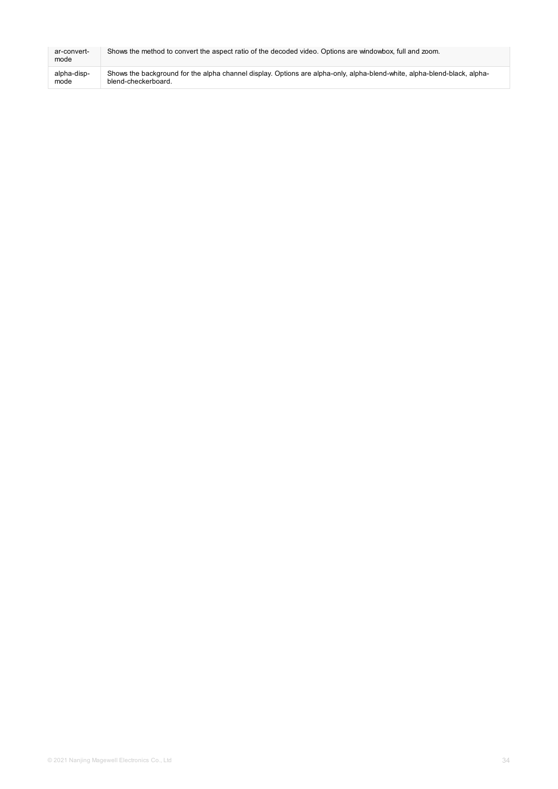| ar-convert-<br>mode | Shows the method to convert the aspect ratio of the decoded video. Options are windowbox, full and zoom.                 |
|---------------------|--------------------------------------------------------------------------------------------------------------------------|
| alpha-disp-         | Shows the background for the alpha channel display. Options are alpha-only, alpha-blend-white, alpha-blend-black, alpha- |
| mode                | blend-checkerboard.                                                                                                      |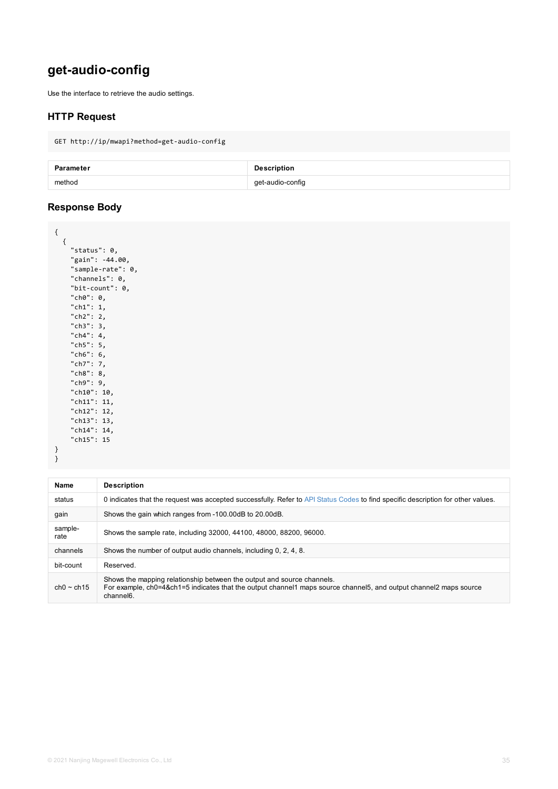```
"sample-rate": 0,
"channels": 0,
"bit-count": 0,
"ch0": 0,
"ch1": 1,
"ch2": 2,
"ch3": 3,
"ch4": 4,
"ch5": 5,
"ch6": 6,
"ch7": 7,
"ch8": 8,
"ch9": 9,
"ch10": 10,
"ch11": 11,
"ch12": 12,
"ch13": 13,
"ch14": 14,
"ch15": 15
```
} }

| <b>Name</b>     | <b>Description</b>                                                                                                                                                                              |
|-----------------|-------------------------------------------------------------------------------------------------------------------------------------------------------------------------------------------------|
| status          | 0 indicates that the request was accepted successfully. Refer to API Status Codes to find specific                                                                                              |
| gain            | Shows the gain which ranges from -100.00dB to 20.00dB.                                                                                                                                          |
| sample-<br>rate | Shows the sample rate, including 32000, 44100, 48000, 88200, 96000.                                                                                                                             |
| channels        | Shows the number of output audio channels, including 0, 2, 4, 8.                                                                                                                                |
| bit-count       | Reserved.                                                                                                                                                                                       |
| $ch0 \sim ch15$ | Shows the mapping relationship between the output and source channels.<br>For example, ch0=4&ch1=5 indicates that the output channel1 maps source channel5, and outpu<br>channel <sub>6</sub> . |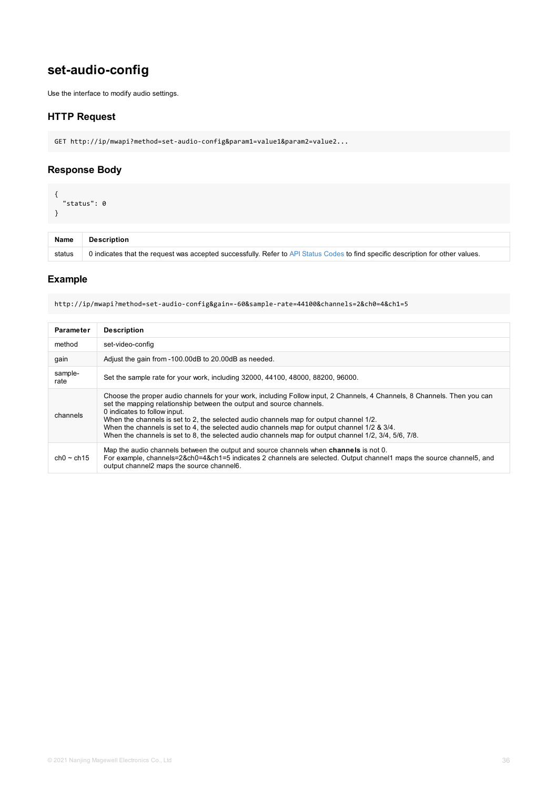http://ip/mwapi?method=set-audio-config&gain=-60&sample-rate=44100&channels=2&ch0=4&ch1=5

| <b>Parameter</b> | <b>Description</b>                                                                                                                                                                                                                                                                                                                                                                                                                                                                                   |
|------------------|------------------------------------------------------------------------------------------------------------------------------------------------------------------------------------------------------------------------------------------------------------------------------------------------------------------------------------------------------------------------------------------------------------------------------------------------------------------------------------------------------|
| method           | set-video-config                                                                                                                                                                                                                                                                                                                                                                                                                                                                                     |
| gain             | Adjust the gain from -100.00dB to 20.00dB as needed.                                                                                                                                                                                                                                                                                                                                                                                                                                                 |
| sample-<br>rate  | Set the sample rate for your work, including 32000, 44100, 48000, 88200, 96000.                                                                                                                                                                                                                                                                                                                                                                                                                      |
| channels         | Choose the proper audio channels for your work, including Follow input, 2 Channels, 4 Channels<br>set the mapping relationship between the output and source channels.<br>0 indicates to follow input.<br>When the channels is set to 2, the selected audio channels map for output channel 1/2.<br>When the channels is set to 4, the selected audio channels map for output channel 1/2 & 3/4.<br>When the channels is set to 8, the selected audio channels map for output channel 1/2, 3/4, 5/6, |
| $ch0 \sim ch15$  | Map the audio channels between the output and source channels when <b>channels</b> is not 0.<br>For example, channels=2&ch0=4&ch1=5 indicates 2 channels are selected. Output channel1 ma<br>output channel2 maps the source channel6.                                                                                                                                                                                                                                                               |
|                  |                                                                                                                                                                                                                                                                                                                                                                                                                                                                                                      |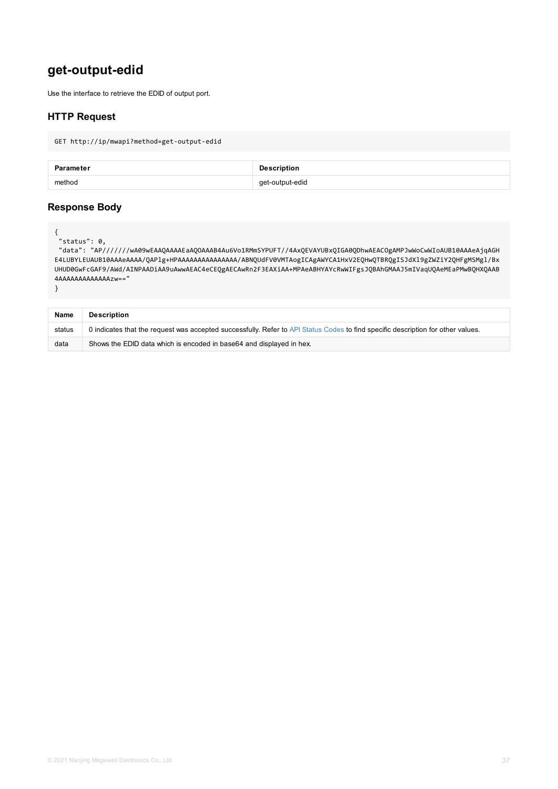```
UHUD0GwFcGAF9/AWd/AINPAADiAA9uAwwAEAC4eCEQgAECAwRn2F3EAXiAA+MPAeABHYAYcRwWIFgsJQBAhGMAAJ
4AAAAAAAAAAAAAzw=="
```
}

| <b>Name</b> | <b>Description</b>                                                                                      |
|-------------|---------------------------------------------------------------------------------------------------------|
| status      | 0 indicates that the request was accepted successfully. Refer to API Status Codes to find specific desc |
| data        | Shows the EDID data which is encoded in base64 and displayed in hex.                                    |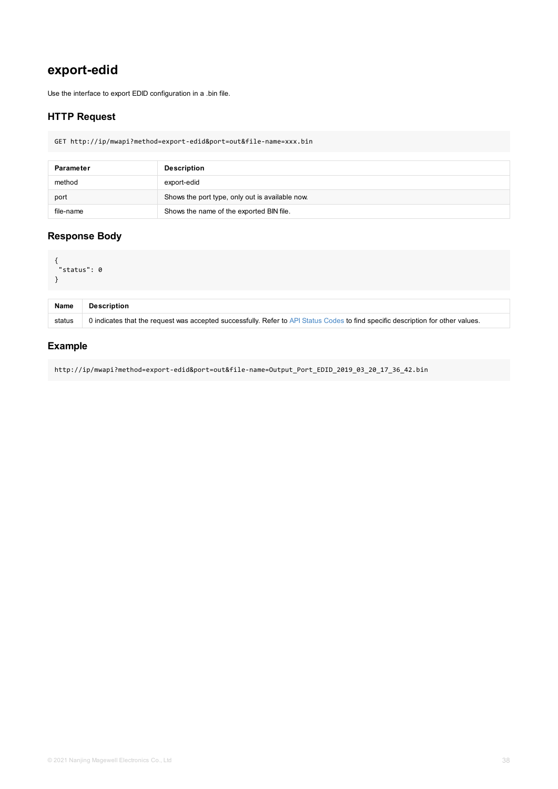```
\sim"status": 0
}
```

| <b>Name</b> | <b>Description</b>                                                                                      |
|-------------|---------------------------------------------------------------------------------------------------------|
| status      | 0 indicates that the request was accepted successfully. Refer to API Status Codes to find specific desc |

http://ip/mwapi?method=export-edid&port=out&file-name=Output\_Port\_EDID\_2019\_03\_20\_17\_36\_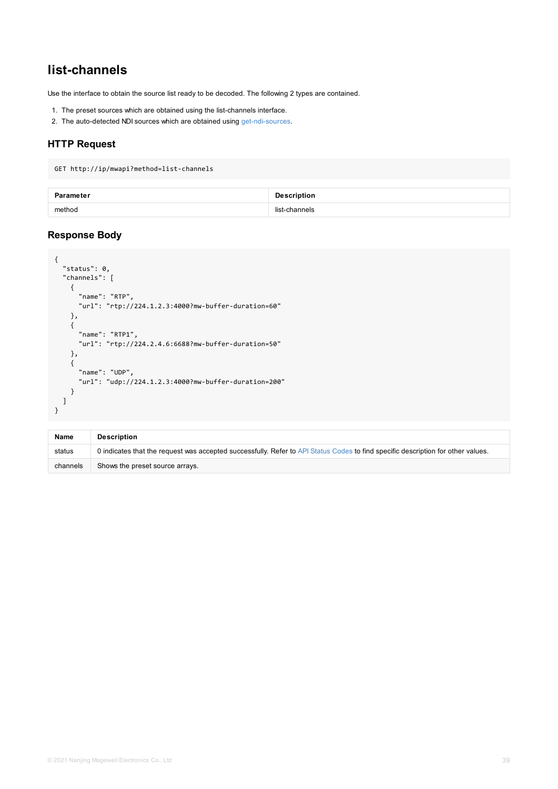```
"status": 0,
  "channels": [
    {
      "name": "RTP",
     "url": "rtp://224.1.2.3:4000?mw-buffer-duration=60"
    },
    {
      "name": "RTP1",
     "url": "rtp://224.2.4.6:6688?mw-buffer-duration=50"
    },
    {
      "name": "UDP",
     "url": "udp://224.1.2.3:4000?mw-buffer-duration=200"
    }
  ]
}
```

| <b>Name</b> | <b>Description</b>                                                                                   |
|-------------|------------------------------------------------------------------------------------------------------|
| status      | 0 indicates that the request was accepted successfully. Refer to API Status Codes to find specific d |
| channels    | Shows the preset source arrays.                                                                      |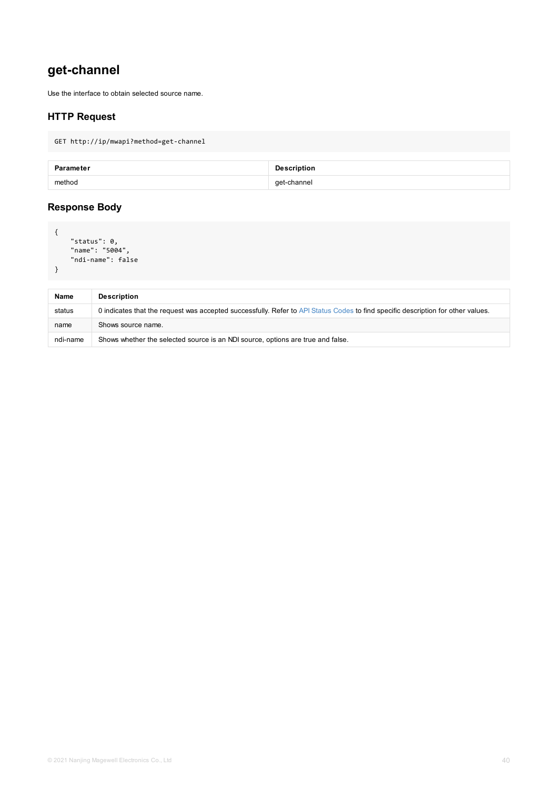| <b>Name</b> | <b>Description</b>                                                                                   |
|-------------|------------------------------------------------------------------------------------------------------|
| status      | 0 indicates that the request was accepted successfully. Refer to API Status Codes to find specific d |
| name        | Shows source name.                                                                                   |
| ndi-name    | Shows whether the selected source is an NDI source, options are true and false.                      |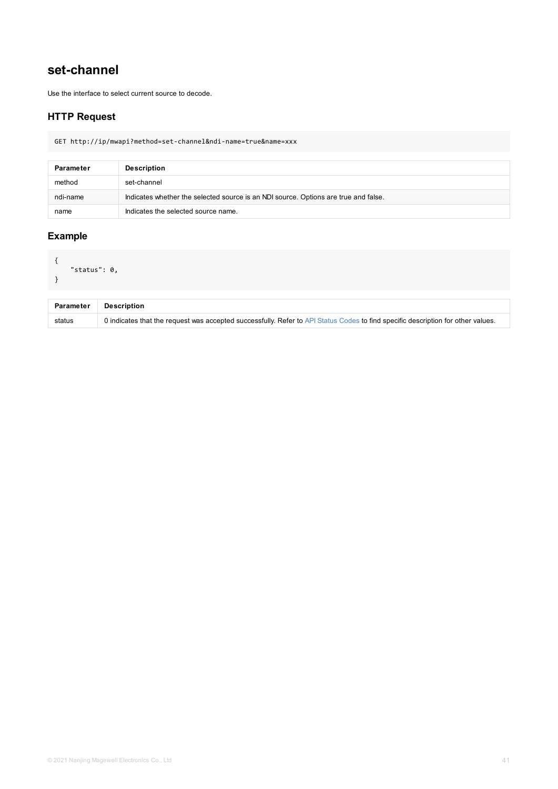```
\sim"status": 0,
}
```

| <b>Parameter</b> | <b>Description</b>                                                                                 |
|------------------|----------------------------------------------------------------------------------------------------|
| status           | 0 indicates that the request was accepted successfully. Refer to API Status Codes to find specific |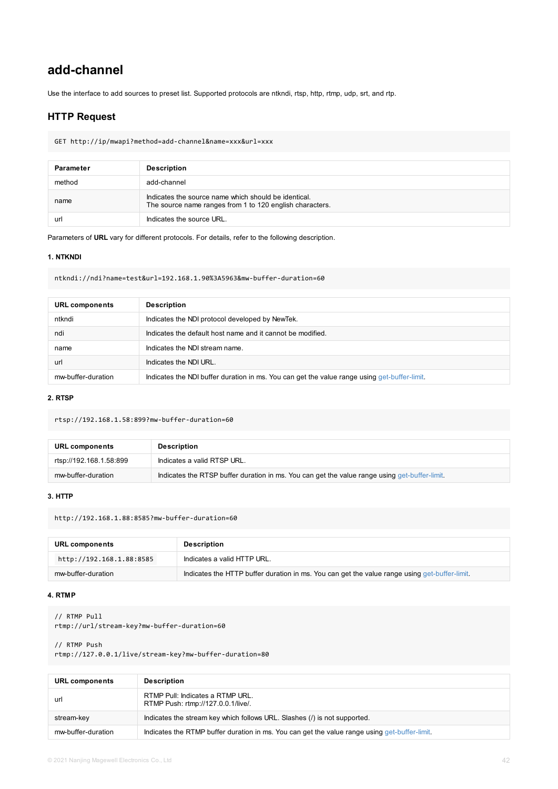```
ntkndi://ndi?name=test&url=192.168.1.90%3A5963&mw-buffer-duration=60
```

| <b>URL components</b> | <b>Description</b>                                                                   |
|-----------------------|--------------------------------------------------------------------------------------|
| ntkndi                | Indicates the NDI protocol developed by NewTek.                                      |
| ndi                   | Indicates the default host name and it cannot be modified.                           |
| name                  | Indicates the NDI stream name.                                                       |
| url                   | Indicates the NDI URL.                                                               |
| mw-buffer-duration    | Indicates the NDI buffer duration in ms. You can get the value range using get-buffe |

#### **2. RTSP**

rtsp://192.168.1.58:899?mw-buffer-duration=60

| URL components          | <b>Description</b>                                                             |
|-------------------------|--------------------------------------------------------------------------------|
| rtsp://192.168.1.58:899 | Indicates a valid RTSP URL.                                                    |
| mw-buffer-duration      | Indicates the RTSP buffer duration in ms. You can get the value range using ge |

#### **3. HTTP**

http://192.168.1.88:8585?mw-buffer-duration=60

| URL components           | <b>Description</b>                                                    |  |
|--------------------------|-----------------------------------------------------------------------|--|
| http://192.168.1.88:8585 | Indicates a valid HTTP URL.                                           |  |
| mw-buffer-duration       | Indicates the HTTP buffer duration in ms. You can get the value range |  |

#### **4. RTMP**

```
// RTMP Pull
rtmp://url/stream-key?mw-buffer-duration=60
```
// RTMP Push rtmp://127.0.0.1/live/stream-key?mw-buffer-duration=80

| <b>URL components</b> | <b>Description</b>                                                                 |
|-----------------------|------------------------------------------------------------------------------------|
| url                   | RTMP Pull: Indicates a RTMP URL.<br>RTMP Push: rtmp://127.0.0.1/live/.             |
| stream-key            | Indicates the stream key which follows URL. Slashes (/) is not supported.          |
| mw-buffer-duration    | Indicates the RTMP buffer duration in ms. You can get the value range using get-bu |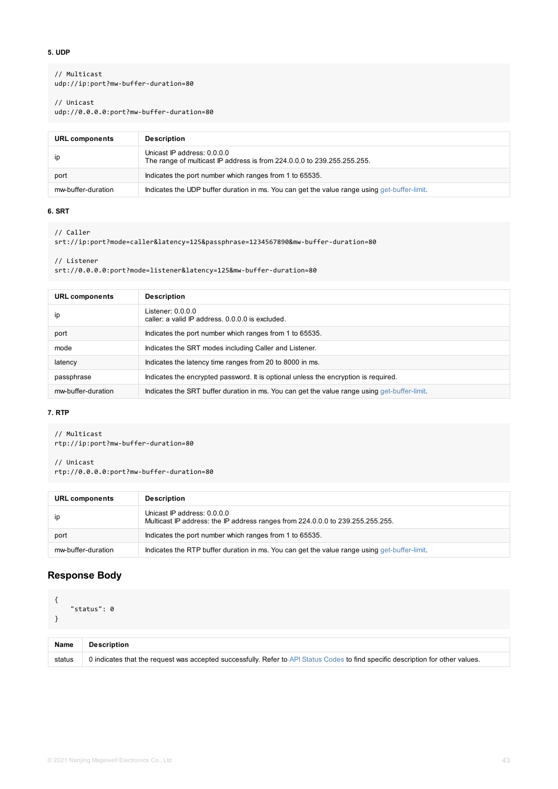```
srt://0.0.0.0:port?mode=listener&latency=125&mw-buffer-duration=80
```

| <b>URL components</b> | <b>Description</b>                                                                  |
|-----------------------|-------------------------------------------------------------------------------------|
| ip                    | Listener: 0.0.0.0<br>caller: a valid IP address, 0,0,0,0 is excluded.               |
| port                  | Indicates the port number which ranges from 1 to 65535.                             |
| mode                  | Indicates the SRT modes including Caller and Listener.                              |
| latency               | Indicates the latency time ranges from 20 to 8000 in ms.                            |
| passphrase            | Indicates the encrypted password. It is optional unless the encryption is required. |
| mw-buffer-duration    | Indicates the SRT buffer duration in ms. You can get the value range using get-buff |

### **7. RTP**

// Listener

```
// Multicast
rtp://ip:port?mw-buffer-duration=80
```
# // Unicast

rtp://0.0.0.0:port?mw-buffer-duration=80

| <b>URL components</b> | <b>Description</b>                                                                                            |
|-----------------------|---------------------------------------------------------------------------------------------------------------|
| ip                    | Unicast IP address: 0.0.0.0<br>Multicast IP address: the IP address ranges from 224.0.0.0 to 239.255.255.255. |
| port                  | Indicates the port number which ranges from 1 to 65535.                                                       |
| mw-buffer-duration    | Indicates the RTP buffer duration in ms. You can get the value range using get-buff                           |

## **Response Body**

```
{
    "status": 0
}
```

| <b>Name</b> | <b>Description</b>                                                                                      |
|-------------|---------------------------------------------------------------------------------------------------------|
| status      | 0 indicates that the request was accepted successfully. Refer to API Status Codes to find specific dest |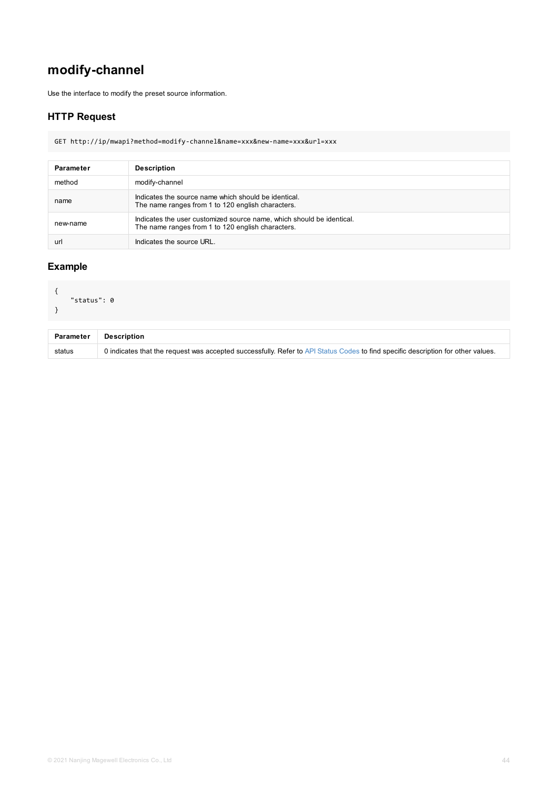```
{
    "status": 0
}
```

| <b>Parameter</b><br><b>Description</b> |                                                                                                    |
|----------------------------------------|----------------------------------------------------------------------------------------------------|
| status                                 | 0 indicates that the request was accepted successfully. Refer to API Status Codes to find specific |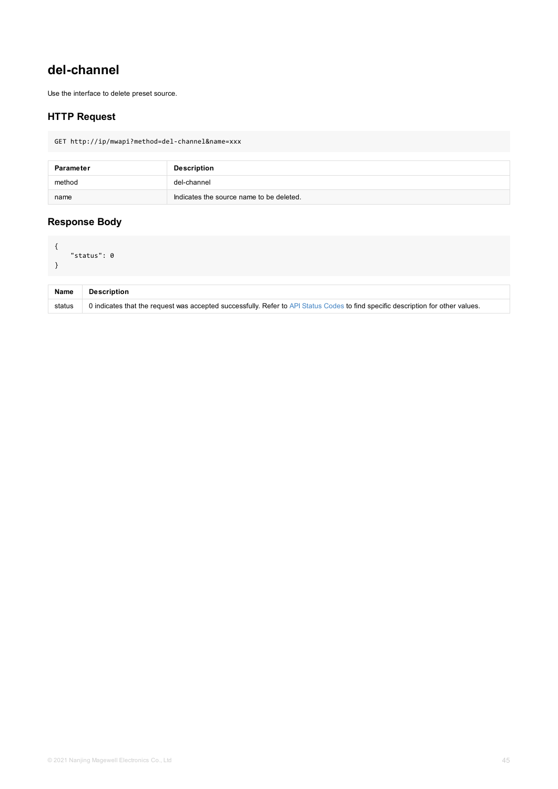<span id="page-44-0"></span>

| <b>Name</b> | <b>Description</b>                                                                                      |
|-------------|---------------------------------------------------------------------------------------------------------|
| status      | 0 indicates that the request was accepted successfully. Refer to API Status Codes to find specific desc |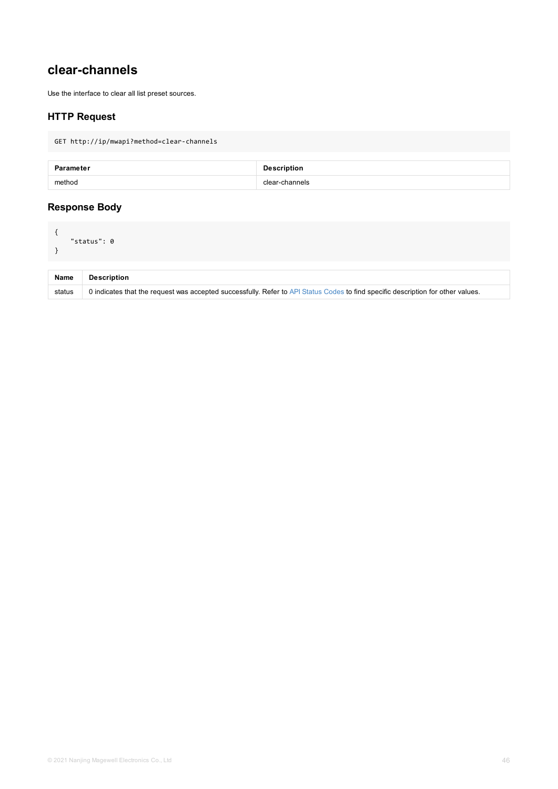<span id="page-45-0"></span>

| <b>Name</b> | <b>Description</b>                                                                                      |
|-------------|---------------------------------------------------------------------------------------------------------|
| status      | 0 indicates that the request was accepted successfully. Refer to API Status Codes to find specific desc |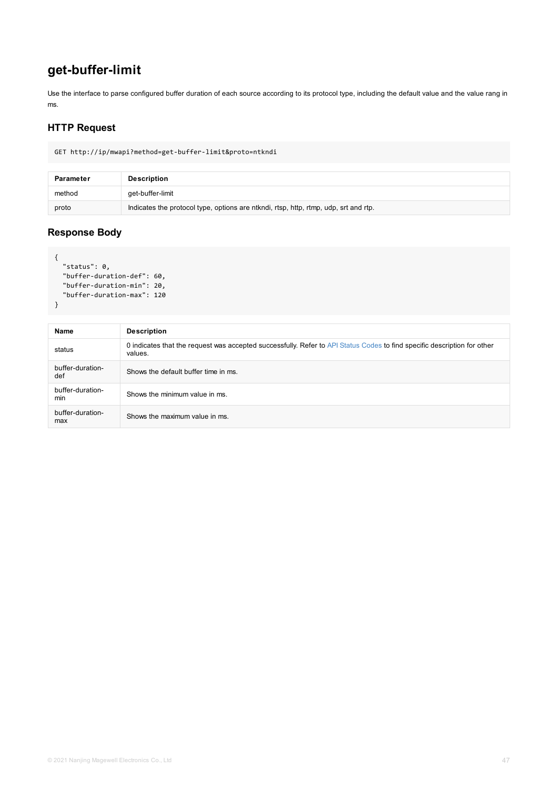```
"status": 0,
  "buffer-duration-def": 60,
  "buffer-duration-min": 20,
  "buffer-duration-max": 120
}
```

| Name                    | <b>Description</b>                                                                                   |
|-------------------------|------------------------------------------------------------------------------------------------------|
| status                  | 0 indicates that the request was accepted successfully. Refer to API Status Codes to find<br>values. |
| buffer-duration-<br>def | Shows the default buffer time in ms.                                                                 |
| buffer-duration-<br>min | Shows the minimum value in ms.                                                                       |
| buffer-duration-<br>max | Shows the maximum value in ms.                                                                       |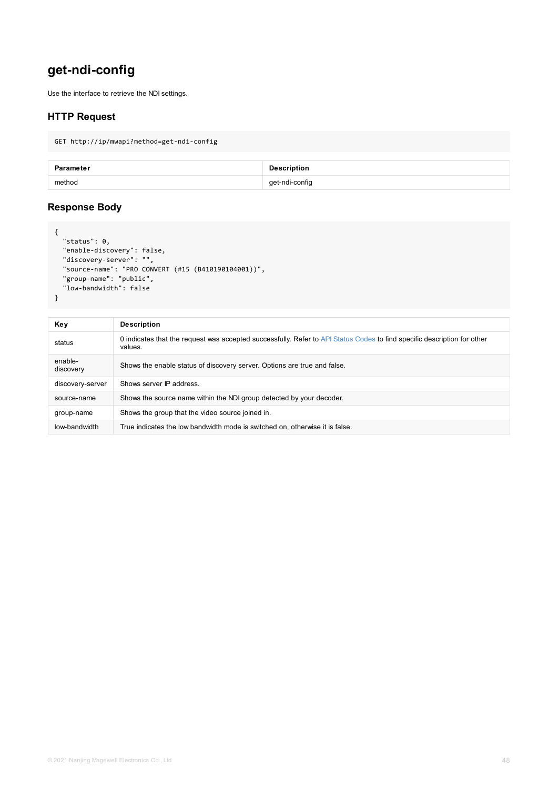```
"source-name": "PRO CONVERT (#15 (B410190104001))",
  "group-name": "public",
  "low-bandwidth": false
}
```
**Key Description** status 0 indicates that the request was accepted successfully. Refer to API Status Codes to find sp values. enablediscovery Shows the enable status of discovery server. Options are true and false. discovery-server Shows server IP address. source-name Shows the source name within the NDI group detected by your decoder. group-name Shows the group that the video source joined in. low-bandwidth True indicates the low bandwidth mode is switched on, otherwise it is false.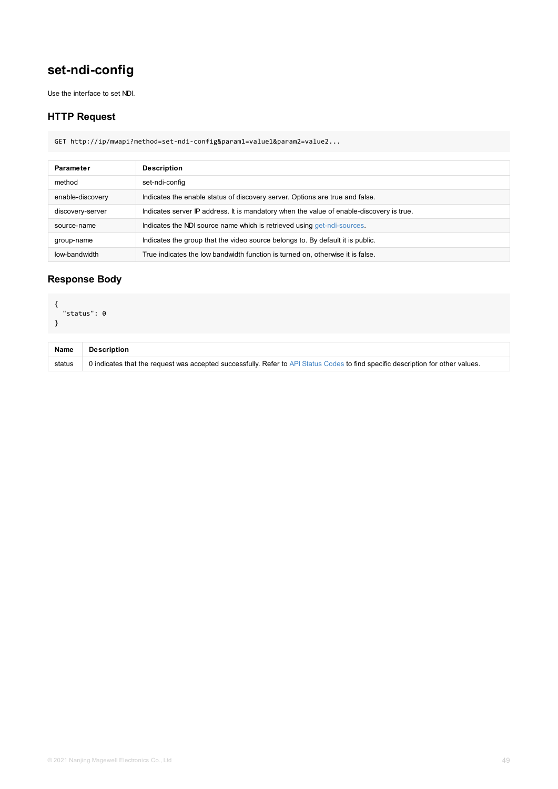## <span id="page-48-0"></span>**Response Body**

```
{
 "status": 0
}
```

| <b>Name</b> | <b>Description</b>                                                                                      |
|-------------|---------------------------------------------------------------------------------------------------------|
| status      | 0 indicates that the request was accepted successfully. Refer to API Status Codes to find specific desc |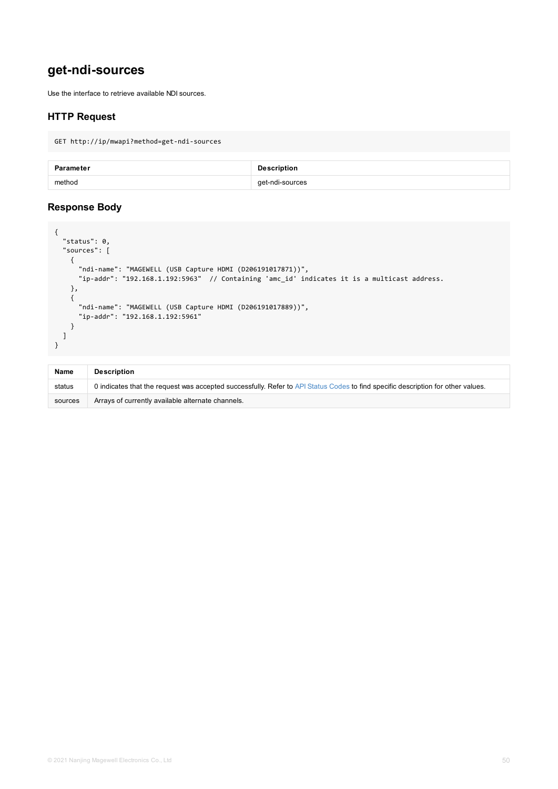```
"ndi-name": "MAGEWELL (USB Capture HDMI (D206191017871))",
      "ip-addr": "192.168.1.192:5963" // Containing 'amc_id' indicates it is a multicas
    },
    {
      "ndi-name": "MAGEWELL (USB Capture HDMI (D206191017889))",
      "ip-addr": "192.168.1.192:5961"
    }
  ]
}
```

| <b>Name</b> | <b>Description</b>                                                                                    |
|-------------|-------------------------------------------------------------------------------------------------------|
| status      | 0 indicates that the request was accepted successfully. Refer to API Status Codes to find specific de |
| sources     | Arrays of currently available alternate channels.                                                     |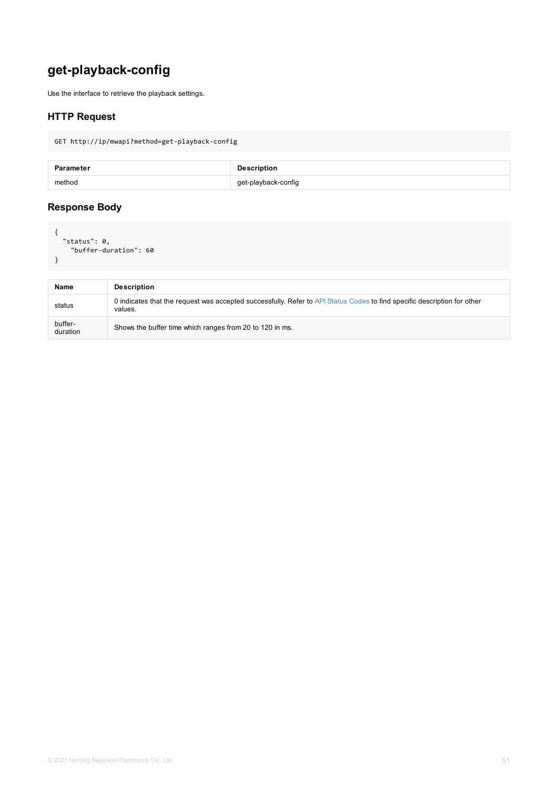<span id="page-50-0"></span>

| <b>Name</b>         | <b>Description</b>                                                                                        |
|---------------------|-----------------------------------------------------------------------------------------------------------|
| status              | 0 indicates that the request was accepted successfully. Refer to API Status Codes to find spec<br>values. |
| buffer-<br>duration | Shows the buffer time which ranges from 20 to 120 in ms.                                                  |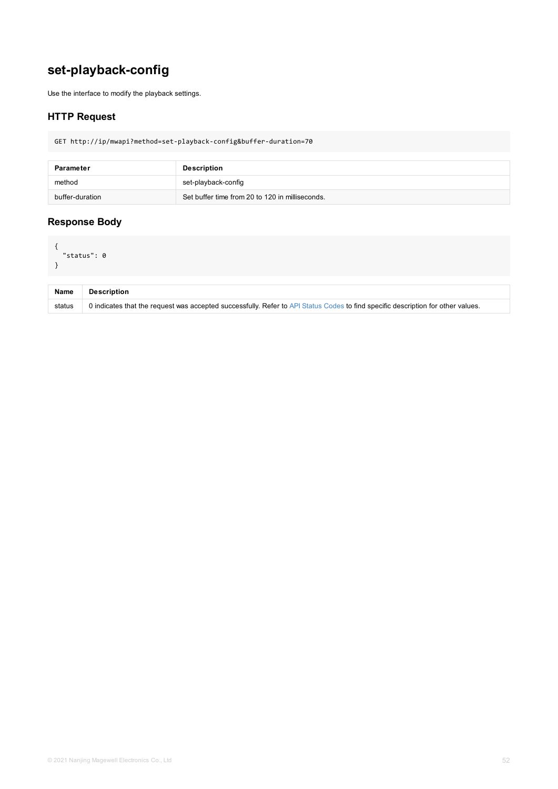<span id="page-51-0"></span>

| <b>Name</b> | <b>Description</b>                                                                                      |
|-------------|---------------------------------------------------------------------------------------------------------|
| status      | 0 indicates that the request was accepted successfully. Refer to API Status Codes to find specific desc |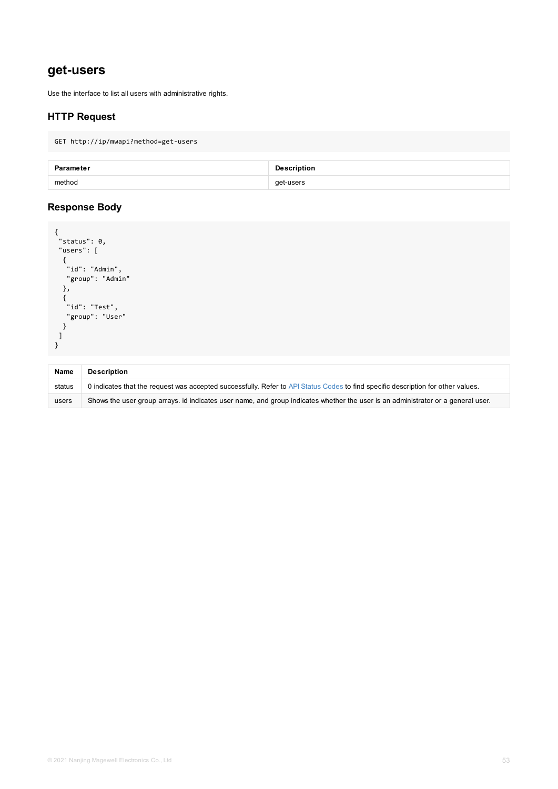```
"id": "Admin",
  "group": "Admin"
 },
 {
  "id": "Test",
 "group": "User"
 }
]
}
```

| <b>Name</b> | <b>Description</b>                                                                                      |
|-------------|---------------------------------------------------------------------------------------------------------|
| status      | 0 indicates that the request was accepted successfully. Refer to API Status Codes to find specific desc |
| users       | Shows the user group arrays. id indicates user name, and group indicates whether the user is an adm     |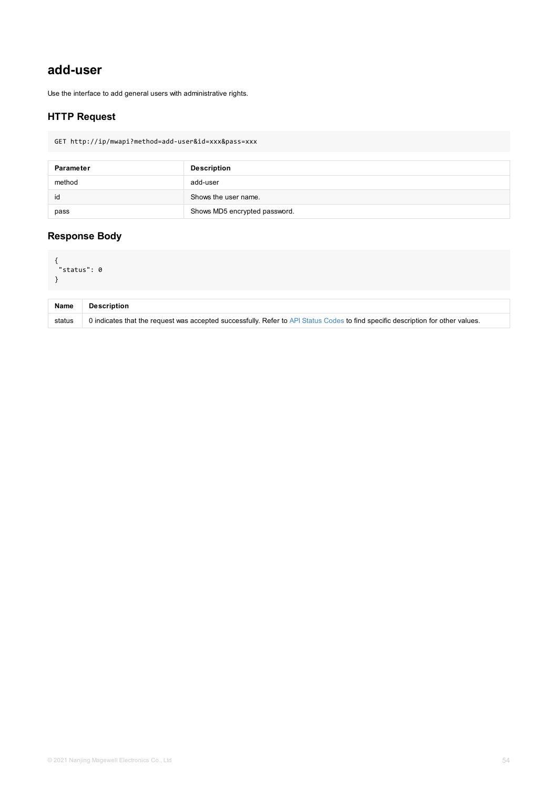```
\sim"status": 0
}
```

| <b>Name</b> | <b>Description</b>                                                                                      |
|-------------|---------------------------------------------------------------------------------------------------------|
| status      | 0 indicates that the request was accepted successfully. Refer to API Status Codes to find specific desc |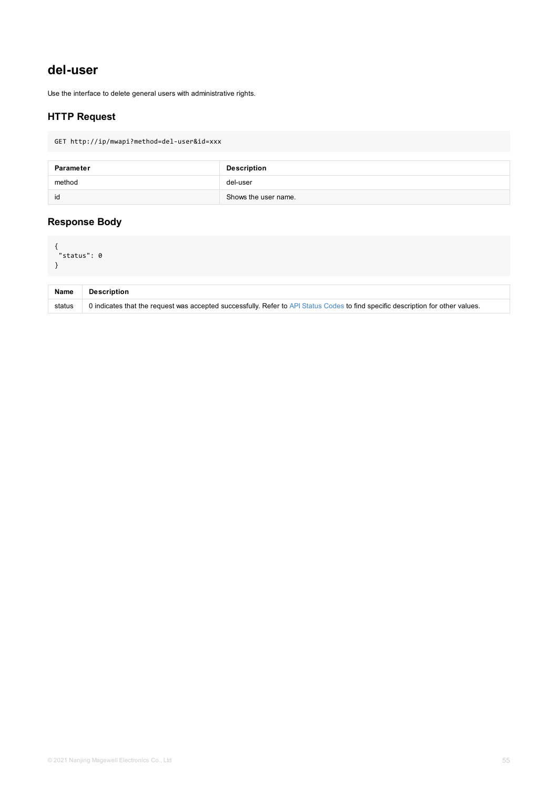<span id="page-54-0"></span>

| <b>Name</b> | <b>Description</b>                                                                                      |
|-------------|---------------------------------------------------------------------------------------------------------|
| status      | 0 indicates that the request was accepted successfully. Refer to API Status Codes to find specific desc |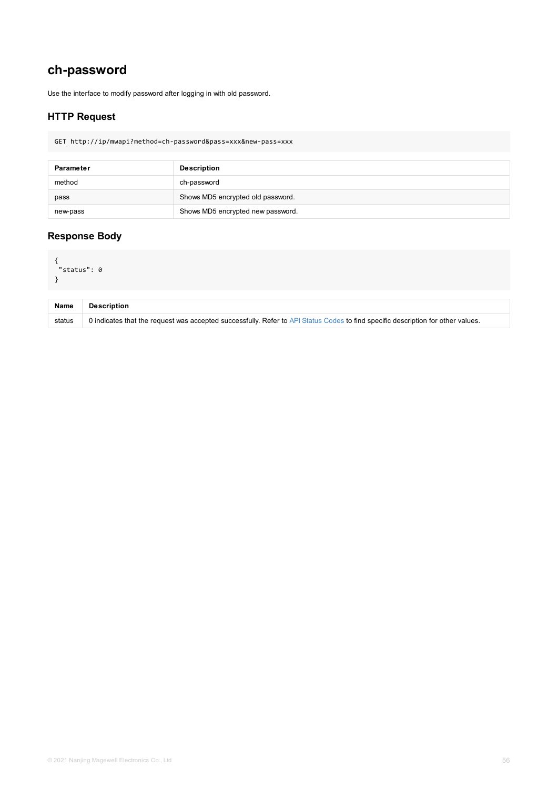```
\sim"status": 0
}
```

| <b>Name</b> | <b>Description</b>                                                                                      |
|-------------|---------------------------------------------------------------------------------------------------------|
| status      | 0 indicates that the request was accepted successfully. Refer to API Status Codes to find specific desc |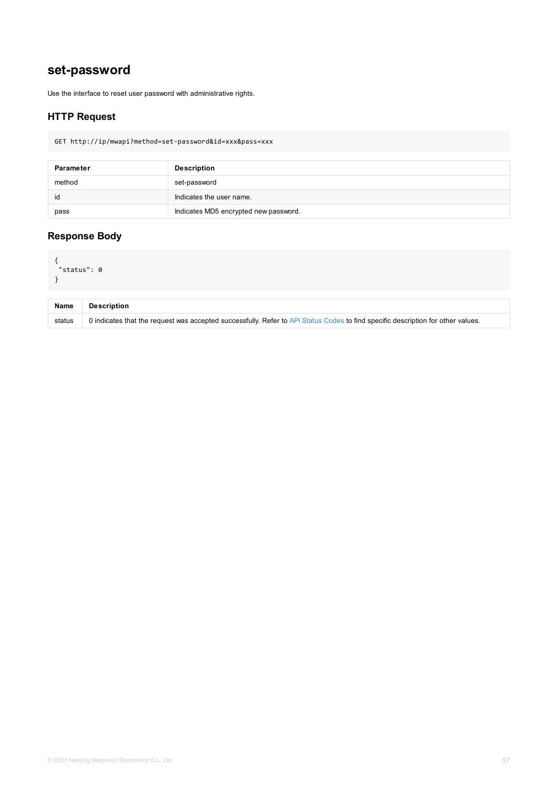```
\sim"status": 0
}
```

| <b>Name</b> | <b>Description</b>                                                                                      |
|-------------|---------------------------------------------------------------------------------------------------------|
| status      | 0 indicates that the request was accepted successfully. Refer to API Status Codes to find specific desc |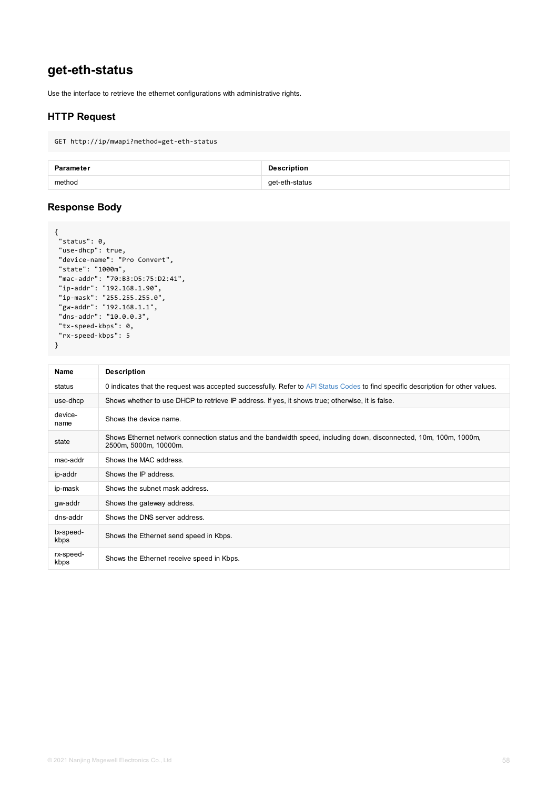```
"state": "1000m",
"mac-addr": "70:B3:D5:75:D2:41",
"ip-addr": "192.168.1.90",
"ip-mask": "255.255.255.0",
"gw-addr": "192.168.1.1",
"dns-addr": "10.0.0.3",
"tx-speed-kbps": 0,
"rx-speed-kbps": 5
}
```

| <b>Name</b>       | <b>Description</b>                                                                                                    |
|-------------------|-----------------------------------------------------------------------------------------------------------------------|
| status            | 0 indicates that the request was accepted successfully. Refer to API Status Codes to find specific                    |
| use-dhcp          | Shows whether to use DHCP to retrieve IP address. If yes, it shows true; otherwise, it is false.                      |
| device-<br>name   | Shows the device name.                                                                                                |
| state             | Shows Ethernet network connection status and the bandwidth speed, including down, disconnect<br>2500m, 5000m, 10000m. |
| mac-addr          | Shows the MAC address.                                                                                                |
| ip-addr           | Shows the IP address.                                                                                                 |
| ip-mask           | Shows the subnet mask address.                                                                                        |
| gw-addr           | Shows the gateway address.                                                                                            |
| dns-addr          | Shows the DNS server address.                                                                                         |
| tx-speed-<br>kbps | Shows the Ethernet send speed in Kbps.                                                                                |
| rx-speed-<br>kbps | Shows the Ethernet receive speed in Kbps.                                                                             |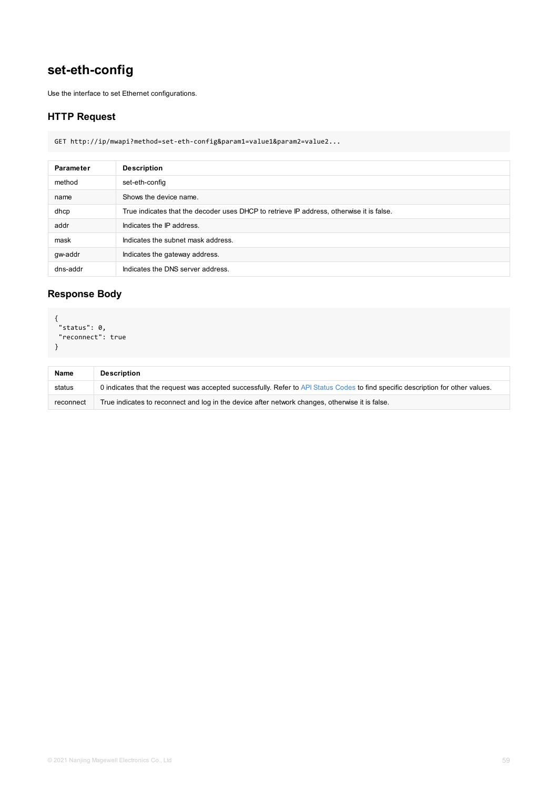## **Response Body**

```
{
"status": 0,
"reconnect": true
}
```

| <b>Name</b> | <b>Description</b>                                                                                 |
|-------------|----------------------------------------------------------------------------------------------------|
| status      | 0 indicates that the request was accepted successfully. Refer to API Status Codes to find specific |
| reconnect   | True indicates to reconnect and log in the device after network changes, otherwise it is false.    |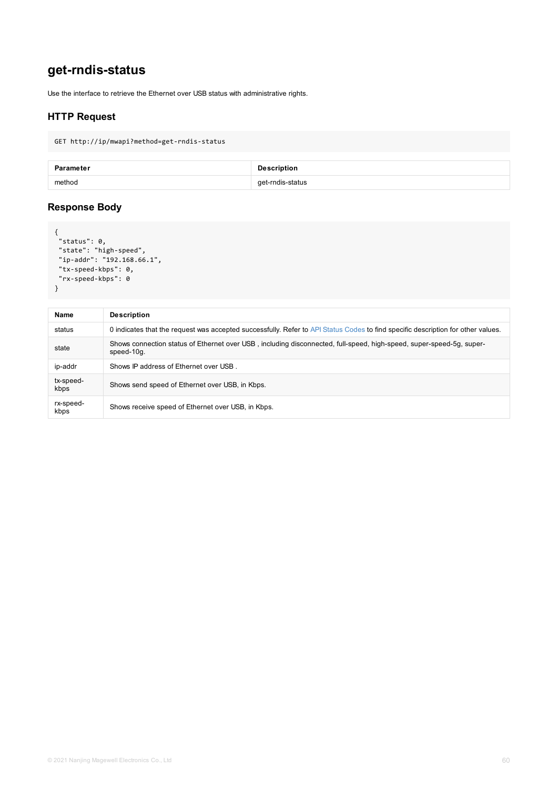```
"tx-speed-kbps": 0,
 "rx-speed-kbps": 0
}
```

| <b>Name</b>       | <b>Description</b>                                                                                         |
|-------------------|------------------------------------------------------------------------------------------------------------|
| status            | 0 indicates that the request was accepted successfully. Refer to API Status Codes to find speci            |
| state             | Shows connection status of Ethernet over USB, including disconnected, full-speed, high-speed<br>speed-10g. |
| ip-addr           | Shows IP address of Ethernet over USB.                                                                     |
| tx-speed-<br>kbps | Shows send speed of Ethernet over USB, in Kbps.                                                            |
| rx-speed-<br>kbps | Shows receive speed of Ethernet over USB, in Kbps.                                                         |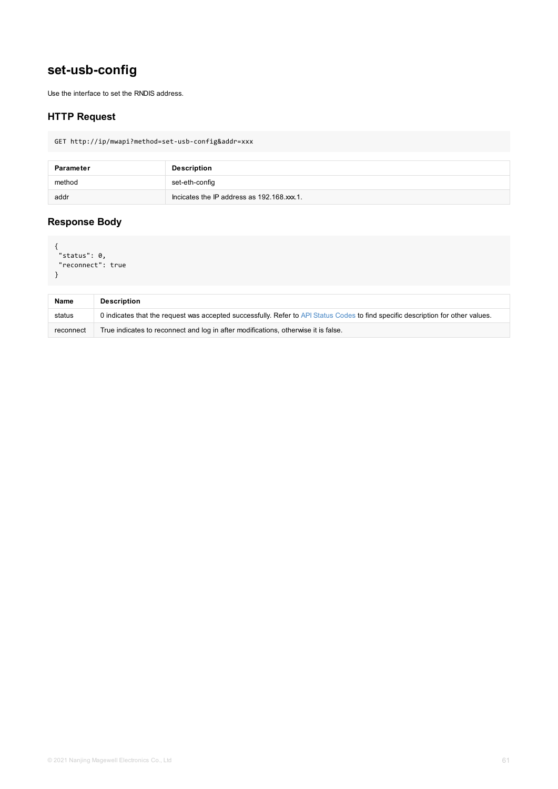```
"reconnect": true
}
```

| <b>Name</b> | <b>Description</b>                                                                                 |
|-------------|----------------------------------------------------------------------------------------------------|
| status      | 0 indicates that the request was accepted successfully. Refer to API Status Codes to find specific |
| reconnect   | True indicates to reconnect and log in after modifications, otherwise it is false.                 |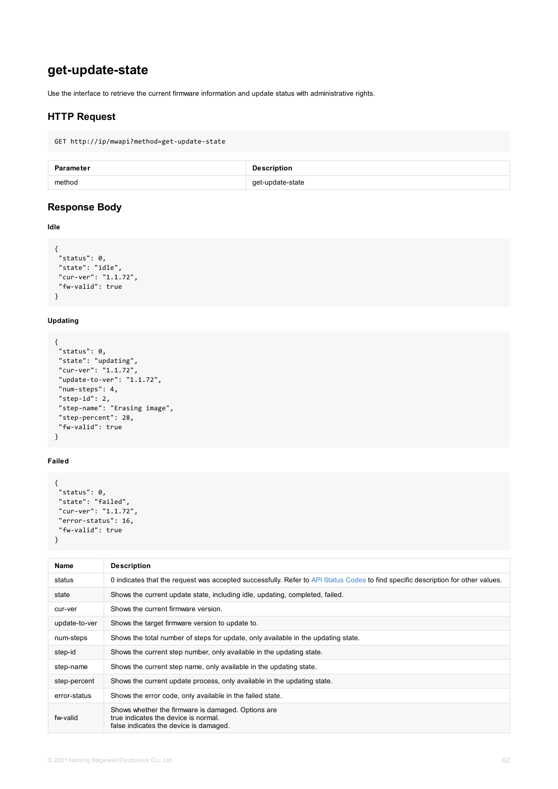```
"state": "idle",
"cur-ver": "1.1.72",
"fw-valid": true
}
```
### **Updating**

```
{
"status": 0,
 "state": "updating",
 "cur-ver": "1.1.72",
 "update-to-ver": "1.1.72",
 "num-steps": 4,
 "step-id": 2,
"step-name": "Erasing image",
"step-percent": 28,
"fw-valid": true
}
```
### **Failed**

```
{
"status": 0,
"state": "failed",
"cur-ver": "1.1.72",
"error-status": 16,
"fw-valid": true
}
```

| <b>Name</b>   | <b>Description</b>                                                                                                                   |
|---------------|--------------------------------------------------------------------------------------------------------------------------------------|
| status        | 0 indicates that the request was accepted successfully. Refer to API Status Codes to find speci                                      |
| state         | Shows the current update state, including idle, updating, completed, failed.                                                         |
| cur-ver       | Shows the current firmware version.                                                                                                  |
| update-to-ver | Shows the target firmware version to update to.                                                                                      |
| num-steps     | Shows the total number of steps for update, only available in the updating state.                                                    |
| step-id       | Shows the current step number, only available in the updating state.                                                                 |
| step-name     | Shows the current step name, only available in the updating state.                                                                   |
| step-percent  | Shows the current update process, only available in the updating state.                                                              |
| error-status  | Shows the error code, only available in the failed state.                                                                            |
| fw-valid      | Shows whether the firmware is damaged. Options are<br>true indicates the device is normal.<br>false indicates the device is damaged. |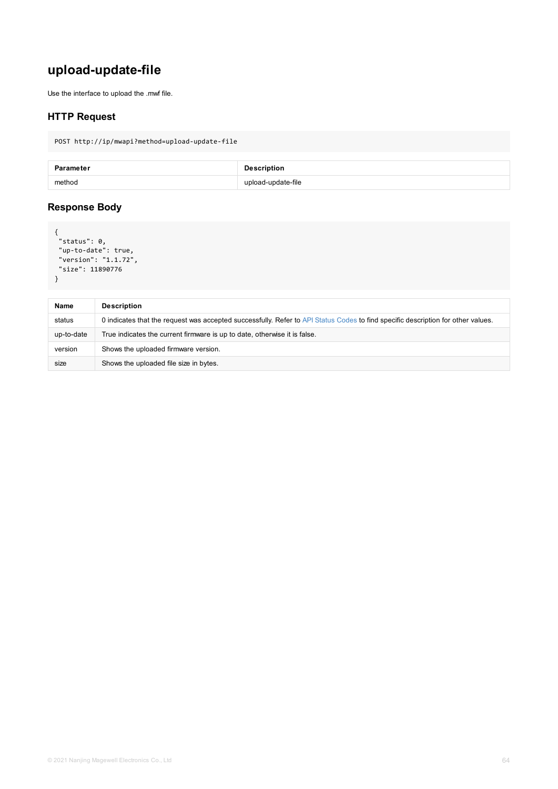```
"size": 11890776
}
```

| <b>Name</b> | <b>Description</b>                                                                                 |
|-------------|----------------------------------------------------------------------------------------------------|
| status      | 0 indicates that the request was accepted successfully. Refer to API Status Codes to find specific |
| up-to-date  | True indicates the current firmware is up to date, otherwise it is false.                          |
| version     | Shows the uploaded firmware version.                                                               |
| size        | Shows the uploaded file size in bytes.                                                             |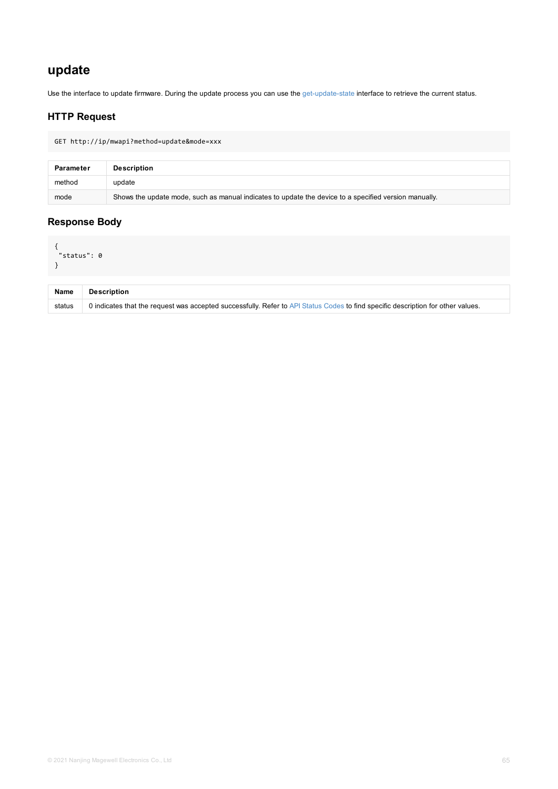| <b>Name</b> | <b>Description</b>                                                                                      |
|-------------|---------------------------------------------------------------------------------------------------------|
| status      | 0 indicates that the request was accepted successfully. Refer to API Status Codes to find specific desc |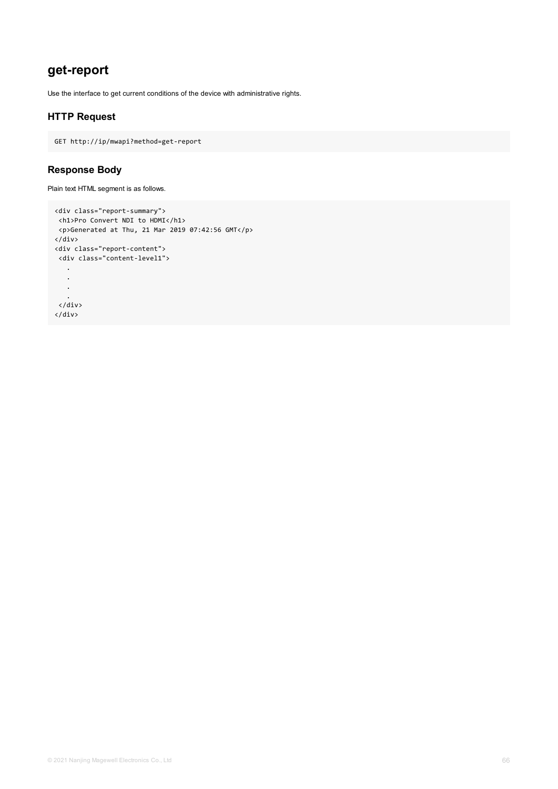# **get-report**

Use the interface to get current conditions of the device with administrative rights.

## **HTTP Request**

GET http://ip/mwapi?method=get-report

### **Response Body**

Plain text HTML segment is as follows.

```
<div class="report-summary">
<h1>Pro Convert NDI to HDMI</h1>
<p>Generated at Thu, 21 Mar 2019 07:42:56 GMT</p>
</div>
<div class="report-content">
 <div class="content-level1">
   .
   .
   .
   .
 </div>
</div>
```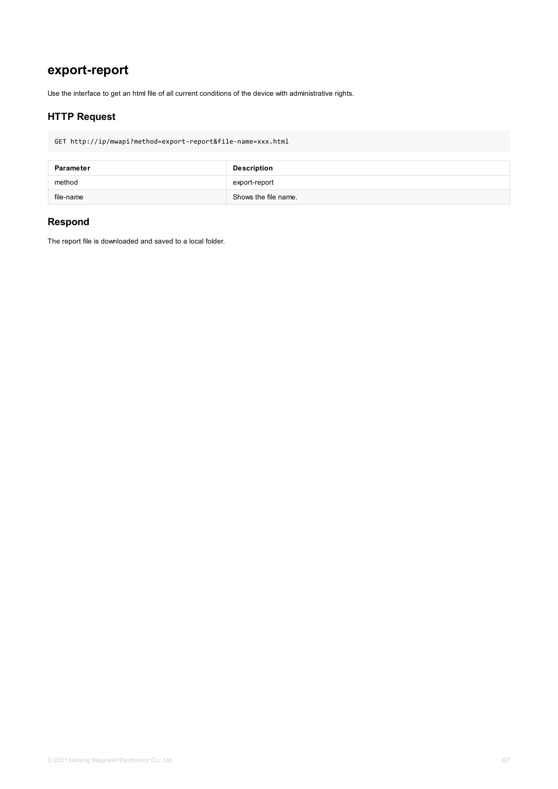# **export-report**

Use the interface to get an html file of all current conditions of the device with administrative rights.

## **HTTP Request**

GET http://ip/mwapi?method=export-report&file-name=xxx.html

| Parameter | <b>Description</b>   |
|-----------|----------------------|
| method    | export-report        |
| file-name | Shows the file name. |

## **Respond**

The report file is downloaded and saved to a local folder.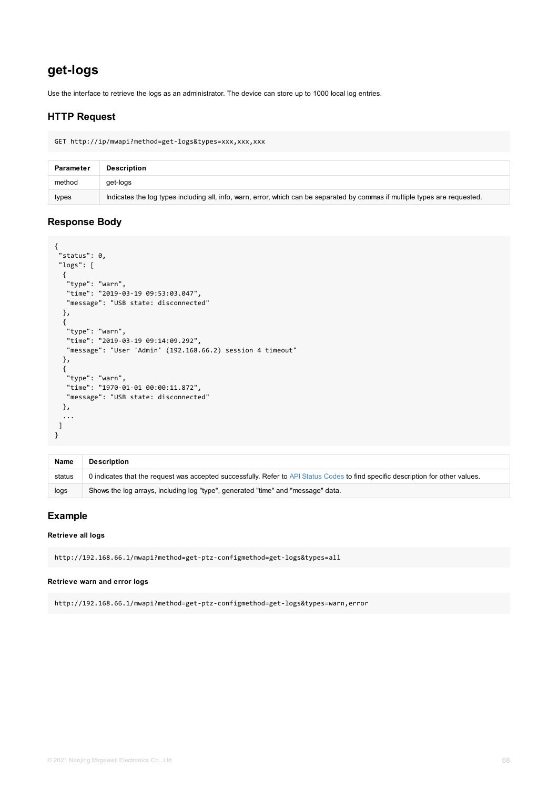```
"logs": [
  {
   "type": "warn",
  "time": "2019-03-19 09:53:03.047",
  "message": "USB state: disconnected"
 },
 {
   "type": "warn",
  "time": "2019-03-19 09:14:09.292",
  "message": "User 'Admin' (192.168.66.2) session 4 timeout"
 },
 {
  "type": "warn",
  "time": "1970-01-01 00:00:11.872",
  "message": "USB state: disconnected"
 },
  ...
]
}
```

| <b>Name</b> | <b>Description</b>                                                                                             |
|-------------|----------------------------------------------------------------------------------------------------------------|
| status      | 0 indicates that the request was accepted successfully. Refer to API Status Codes to find specific description |
| logs        | Shows the log arrays, including log "type", generated "time" and "message" data.                               |

#### **Retrieve all logs**

http://192.168.66.1/mwapi?method=get-ptz-configmethod=get-logs&types=all

#### **Retrieve warn and error logs**

http://192.168.66.1/mwapi?method=get-ptz-configmethod=get-logs&types=warn,error